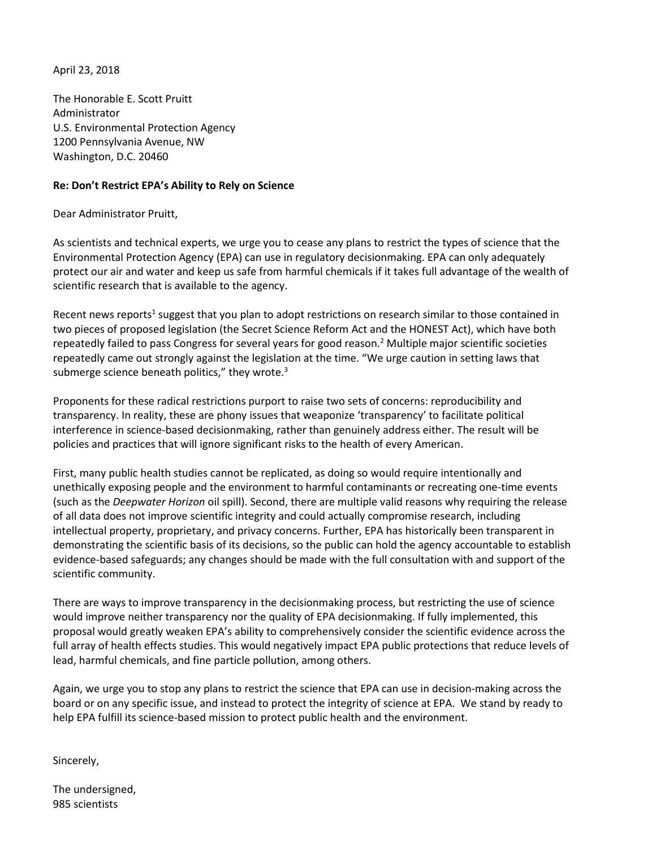April 23, 2018

The Honorable E. Scott Pruitt Administrator U.S. Environmental Protection Agency 1200 Pennsylvania Avenue, NW Washington, D.C. 20460

## **Re: Don't Restrict EPA's Ability to Rely on Science**

Dear Administrator Pruitt,

As scientists and technical experts, we urge you to cease any plans to restrict the types of science that the Environmental Protection Agency (EPA) can use in regulatory decisionmaking. EPA can only adequately protect our air and water and keep us safe from harmful chemicals if it takes full advantage of the wealth of scientific research that is available to the agency.

Recent news reports<sup>1</sup> suggest that you plan to adopt restrictions on research similar to those contained in two pieces of proposed legislation (the Secret Science Reform Act and the HONEST Act), which have both repeatedly failed to pass Congress for several years for good reason.2 Multiple major scientific societies repeatedly came out strongly against the legislation at the time. "We urge caution in setting laws that submerge science beneath politics," they wrote. $3$ 

Proponents for these radical restrictions purport to raise two sets of concerns: reproducibility and transparency. In reality, these are phony issues that weaponize 'transparency' to facilitate political interference in science-based decisionmaking, rather than genuinely address either. The result will be policies and practices that will ignore significant risks to the health of every American.

First, many public health studies cannot be replicated, as doing so would require intentionally and unethically exposing people and the environment to harmful contaminants or recreating one-time events (such as the *Deepwater Horizon* oil spill). Second, there are multiple valid reasons why requiring the release of all data does not improve scientific integrity and could actually compromise research, including intellectual property, proprietary, and privacy concerns. Further, EPA has historically been transparent in demonstrating the scientific basis of its decisions, so the public can hold the agency accountable to establish evidence-based safeguards; any changes should be made with the full consultation with and support of the scientific community.

There are ways to improve transparency in the decisionmaking process, but restricting the use of science would improve neither transparency nor the quality of EPA decisionmaking. If fully implemented, this proposal would greatly weaken EPA's ability to comprehensively consider the scientific evidence across the full array of health effects studies. This would negatively impact EPA public protections that reduce levels of lead, harmful chemicals, and fine particle pollution, among others.

Again, we urge you to stop any plans to restrict the science that EPA can use in decision-making across the board or on any specific issue, and instead to protect the integrity of science at EPA. We stand by ready to help EPA fulfill its science-based mission to protect public health and the environment.

Sincerely,

The undersigned, 985 scientists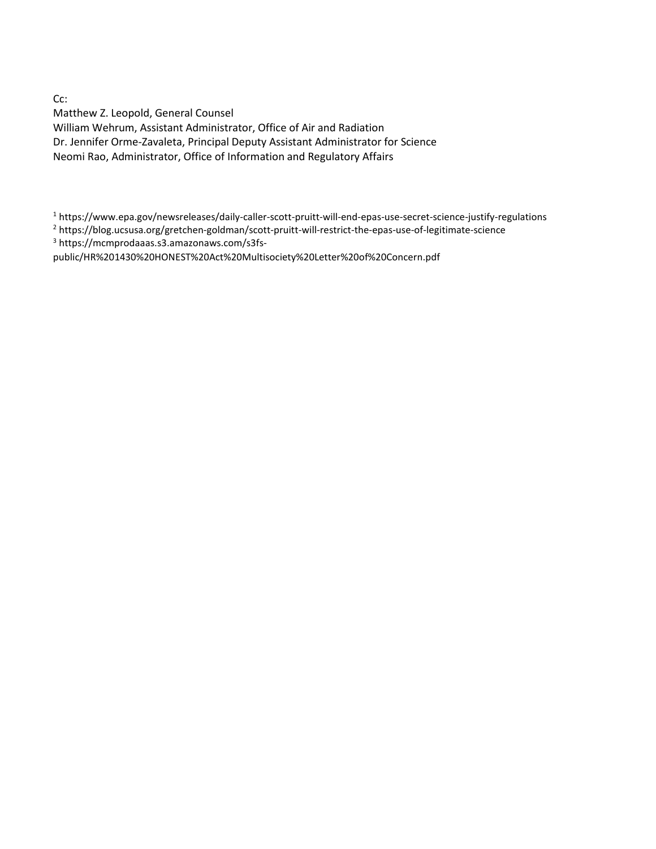Cc:

Matthew Z. Leopold, General Counsel William Wehrum, Assistant Administrator, Office of Air and Radiation Dr. Jennifer Orme-Zavaleta, Principal Deputy Assistant Administrator for Science Neomi Rao, Administrator, Office of Information and Regulatory Affairs

<sup>1</sup> https://www.epa.gov/newsreleases/daily-caller-scott-pruitt-will-end-epas-use-secret-science-justify-regulations

<sup>2</sup> https://blog.ucsusa.org/gretchen-goldman/scott-pruitt-will-restrict-the-epas-use-of-legitimate-science

<sup>3</sup> https://mcmprodaaas.s3.amazonaws.com/s3fs-

public/HR%201430%20HONEST%20Act%20Multisociety%20Letter%20of%20Concern.pdf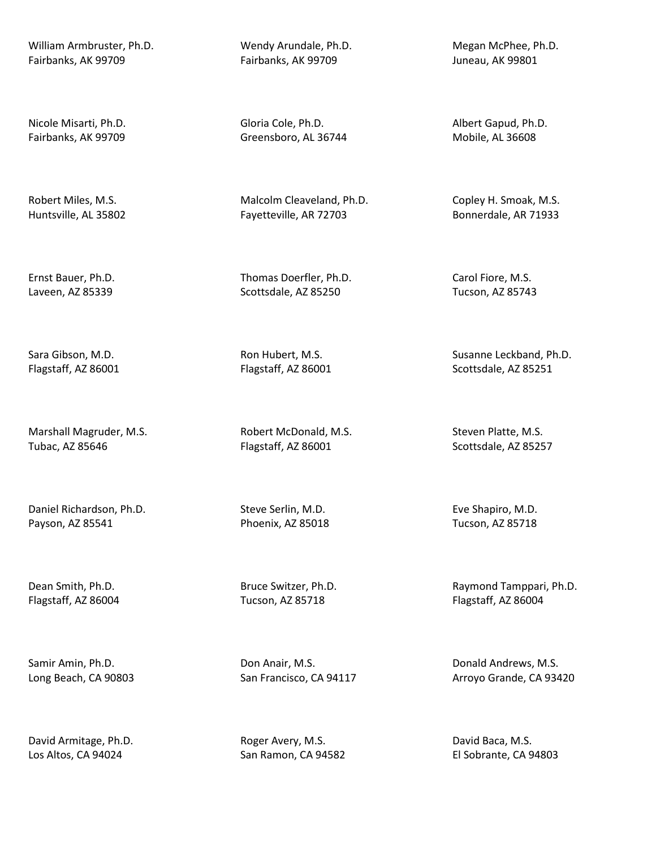William Armbruster, Ph.D. Fairbanks, AK 99709

Nicole Misarti, Ph.D. Fairbanks, AK 99709

Robert Miles, M.S. Huntsville, AL 35802

Ernst Bauer, Ph.D. Laveen, AZ 85339

Sara Gibson, M.D. Flagstaff, AZ 86001

Marshall Magruder, M.S. Tubac, AZ 85646

Daniel Richardson, Ph.D. Payson, AZ 85541

Dean Smith, Ph.D. Flagstaff, AZ 86004

Samir Amin, Ph.D. Long Beach, CA 90803

David Armitage, Ph.D. Los Altos, CA 94024

Wendy Arundale, Ph.D. Fairbanks, AK 99709

Gloria Cole, Ph.D. Greensboro, AL 36744

Malcolm Cleaveland, Ph.D. Fayetteville, AR 72703

Thomas Doerfler, Ph.D. Scottsdale, AZ 85250

Ron Hubert, M.S. Flagstaff, AZ 86001

Robert McDonald, M.S. Flagstaff, AZ 86001

Steve Serlin, M.D. Phoenix, AZ 85018

Bruce Switzer, Ph.D. Tucson, AZ 85718

Don Anair, M.S. San Francisco, CA 94117

Roger Avery, M.S. San Ramon, CA 94582 Megan McPhee, Ph.D. Juneau, AK 99801

Albert Gapud, Ph.D. Mobile, AL 36608

Copley H. Smoak, M.S. Bonnerdale, AR 71933

Carol Fiore, M.S. Tucson, AZ 85743

Susanne Leckband, Ph.D. Scottsdale, AZ 85251

Steven Platte, M.S. Scottsdale, AZ 85257

Eve Shapiro, M.D. Tucson, AZ 85718

Raymond Tamppari, Ph.D. Flagstaff, AZ 86004

Donald Andrews, M.S. Arroyo Grande, CA 93420

David Baca, M.S. El Sobrante, CA 94803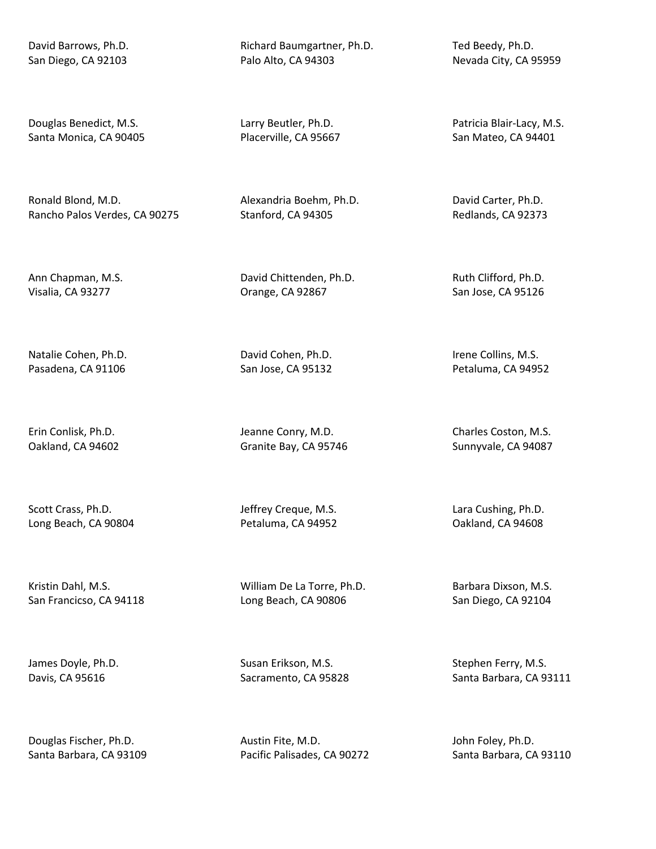David Barrows, Ph.D. San Diego, CA 92103

Douglas Benedict, M.S. Santa Monica, CA 90405

Ronald Blond, M.D. Rancho Palos Verdes, CA 90275

Ann Chapman, M.S. Visalia, CA 93277

Natalie Cohen, Ph.D. Pasadena, CA 91106

Erin Conlisk, Ph.D. Oakland, CA 94602

Scott Crass, Ph.D. Long Beach, CA 90804

Kristin Dahl, M.S. San Francicso, CA 94118

James Doyle, Ph.D. Davis, CA 95616

Douglas Fischer, Ph.D. Santa Barbara, CA 93109 Richard Baumgartner, Ph.D. Palo Alto, CA 94303

Larry Beutler, Ph.D. Placerville, CA 95667

Alexandria Boehm, Ph.D. Stanford, CA 94305

David Chittenden, Ph.D. Orange, CA 92867

David Cohen, Ph.D. San Jose, CA 95132

Jeanne Conry, M.D. Granite Bay, CA 95746

Jeffrey Creque, M.S. Petaluma, CA 94952

William De La Torre, Ph.D. Long Beach, CA 90806

Susan Erikson, M.S. Sacramento, CA 95828

Austin Fite, M.D. Pacific Palisades, CA 90272 Ted Beedy, Ph.D. Nevada City, CA 95959

Patricia Blair-Lacy, M.S. San Mateo, CA 94401

David Carter, Ph.D. Redlands, CA 92373

Ruth Clifford, Ph.D. San Jose, CA 95126

Irene Collins, M.S. Petaluma, CA 94952

Charles Coston, M.S. Sunnyvale, CA 94087

Lara Cushing, Ph.D. Oakland, CA 94608

Barbara Dixson, M.S. San Diego, CA 92104

Stephen Ferry, M.S. Santa Barbara, CA 93111

John Foley, Ph.D. Santa Barbara, CA 93110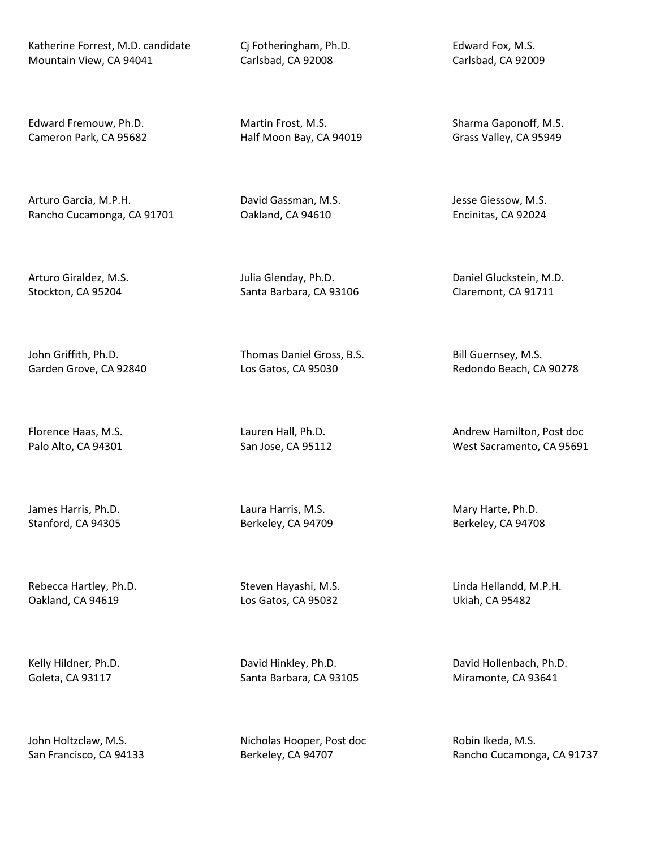Katherine Forrest, M.D. candidate Mountain View, CA 94041

Edward Fremouw, Ph.D. Cameron Park, CA 95682

Arturo Garcia, M.P.H. Rancho Cucamonga, CA 91701

Arturo Giraldez, M.S. Stockton, CA 95204

John Griffith, Ph.D. Garden Grove, CA 92840

Florence Haas, M.S. Palo Alto, CA 94301

James Harris, Ph.D. Stanford, CA 94305

Rebecca Hartley, Ph.D. Oakland, CA 94619

Kelly Hildner, Ph.D. Goleta, CA 93117

John Holtzclaw, M.S. San Francisco, CA 94133 Cj Fotheringham, Ph.D. Carlsbad, CA 92008

Martin Frost, M.S. Half Moon Bay, CA 94019

David Gassman, M.S. Oakland, CA 94610

Julia Glenday, Ph.D. Santa Barbara, CA 93106

Thomas Daniel Gross, B.S. Los Gatos, CA 95030

Lauren Hall, Ph.D. San Jose, CA 95112

Laura Harris, M.S. Berkeley, CA 94709

Steven Hayashi, M.S. Los Gatos, CA 95032

David Hinkley, Ph.D. Santa Barbara, CA 93105

Nicholas Hooper, Post doc Berkeley, CA 94707

Edward Fox, M.S. Carlsbad, CA 92009

Sharma Gaponoff, M.S. Grass Valley, CA 95949

Jesse Giessow, M.S. Encinitas, CA 92024

Daniel Gluckstein, M.D. Claremont, CA 91711

Bill Guernsey, M.S. Redondo Beach, CA 90278

Andrew Hamilton, Post doc West Sacramento, CA 95691

Mary Harte, Ph.D. Berkeley, CA 94708

Linda Hellandd, M.P.H. Ukiah, CA 95482

David Hollenbach, Ph.D. Miramonte, CA 93641

Robin Ikeda, M.S. Rancho Cucamonga, CA 91737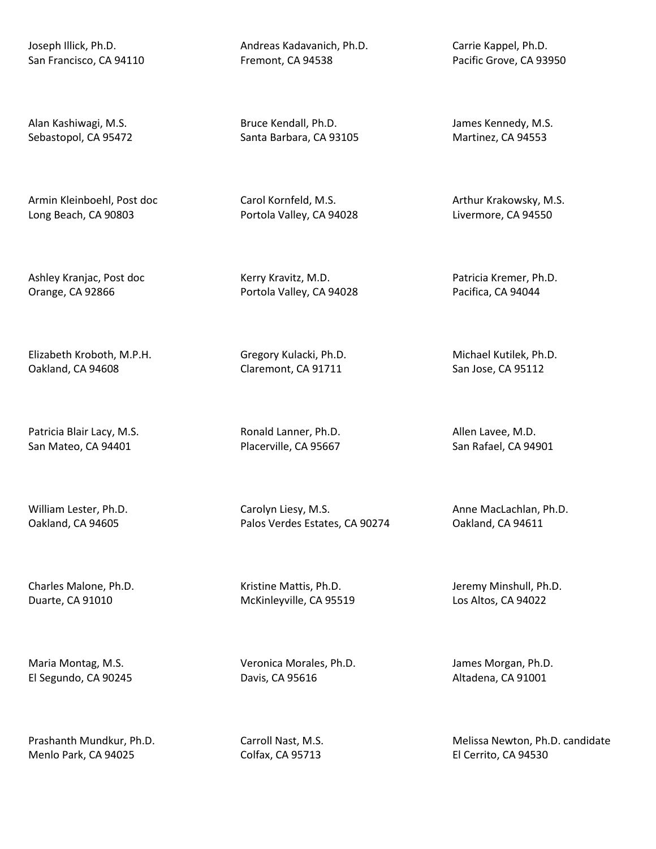Joseph Illick, Ph.D. San Francisco, CA 94110

Alan Kashiwagi, M.S. Sebastopol, CA 95472

Armin Kleinboehl, Post doc Long Beach, CA 90803

Ashley Kranjac, Post doc Orange, CA 92866

Elizabeth Kroboth, M.P.H. Oakland, CA 94608

Patricia Blair Lacy, M.S. San Mateo, CA 94401

William Lester, Ph.D. Oakland, CA 94605

Charles Malone, Ph.D. Duarte, CA 91010

Maria Montag, M.S. El Segundo, CA 90245

Prashanth Mundkur, Ph.D. Menlo Park, CA 94025

Andreas Kadavanich, Ph.D. Fremont, CA 94538

Bruce Kendall, Ph.D. Santa Barbara, CA 93105

Carol Kornfeld, M.S. Portola Valley, CA 94028

Kerry Kravitz, M.D. Portola Valley, CA 94028

Gregory Kulacki, Ph.D. Claremont, CA 91711

Ronald Lanner, Ph.D. Placerville, CA 95667

Carolyn Liesy, M.S. Palos Verdes Estates, CA 90274

Kristine Mattis, Ph.D. McKinleyville, CA 95519

Veronica Morales, Ph.D. Davis, CA 95616

Carroll Nast, M.S. Colfax, CA 95713

Carrie Kappel, Ph.D. Pacific Grove, CA 93950

James Kennedy, M.S. Martinez, CA 94553

Arthur Krakowsky, M.S. Livermore, CA 94550

Patricia Kremer, Ph.D. Pacifica, CA 94044

Michael Kutilek, Ph.D. San Jose, CA 95112

Allen Lavee, M.D. San Rafael, CA 94901

Anne MacLachlan, Ph.D. Oakland, CA 94611

Jeremy Minshull, Ph.D. Los Altos, CA 94022

James Morgan, Ph.D. Altadena, CA 91001

Melissa Newton, Ph.D. candidate El Cerrito, CA 94530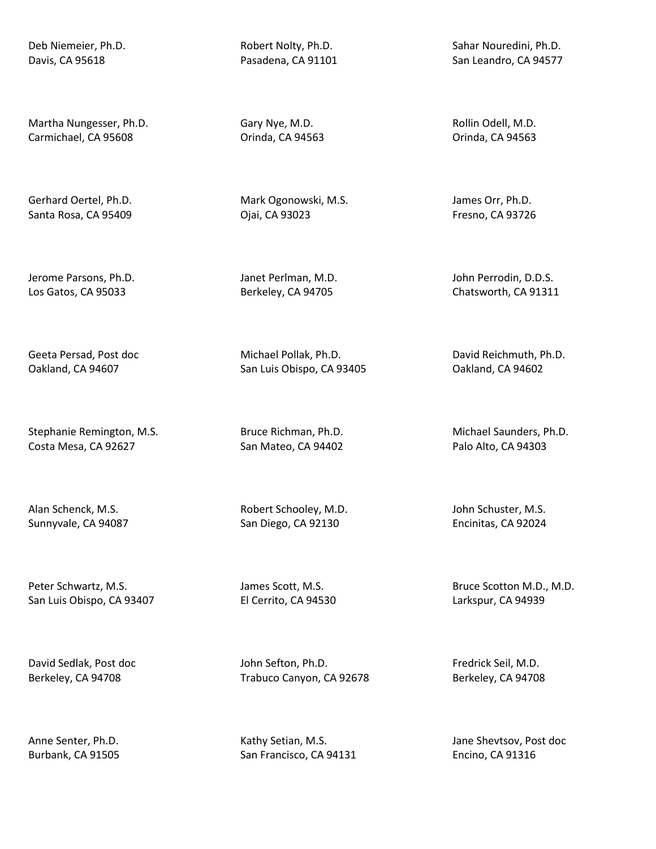Deb Niemeier, Ph.D. Davis, CA 95618

Martha Nungesser, Ph.D. Carmichael, CA 95608

Gerhard Oertel, Ph.D. Santa Rosa, CA 95409

Jerome Parsons, Ph.D. Los Gatos, CA 95033

Geeta Persad, Post doc Oakland, CA 94607

Stephanie Remington, M.S. Costa Mesa, CA 92627

Alan Schenck, M.S. Sunnyvale, CA 94087

Peter Schwartz, M.S. San Luis Obispo, CA 93407

David Sedlak, Post doc Berkeley, CA 94708

Anne Senter, Ph.D. Burbank, CA 91505 Robert Nolty, Ph.D. Pasadena, CA 91101

Gary Nye, M.D. Orinda, CA 94563

Mark Ogonowski, M.S. Ojai, CA 93023

Janet Perlman, M.D. Berkeley, CA 94705

Michael Pollak, Ph.D. San Luis Obispo, CA 93405

Bruce Richman, Ph.D. San Mateo, CA 94402

Robert Schooley, M.D. San Diego, CA 92130

James Scott, M.S. El Cerrito, CA 94530

John Sefton, Ph.D. Trabuco Canyon, CA 92678

Kathy Setian, M.S. San Francisco, CA 94131 Sahar Nouredini, Ph.D. San Leandro, CA 94577

Rollin Odell, M.D. Orinda, CA 94563

James Orr, Ph.D. Fresno, CA 93726

John Perrodin, D.D.S. Chatsworth, CA 91311

David Reichmuth, Ph.D. Oakland, CA 94602

Michael Saunders, Ph.D. Palo Alto, CA 94303

John Schuster, M.S. Encinitas, CA 92024

Bruce Scotton M.D., M.D. Larkspur, CA 94939

Fredrick Seil, M.D. Berkeley, CA 94708

Jane Shevtsov, Post doc Encino, CA 91316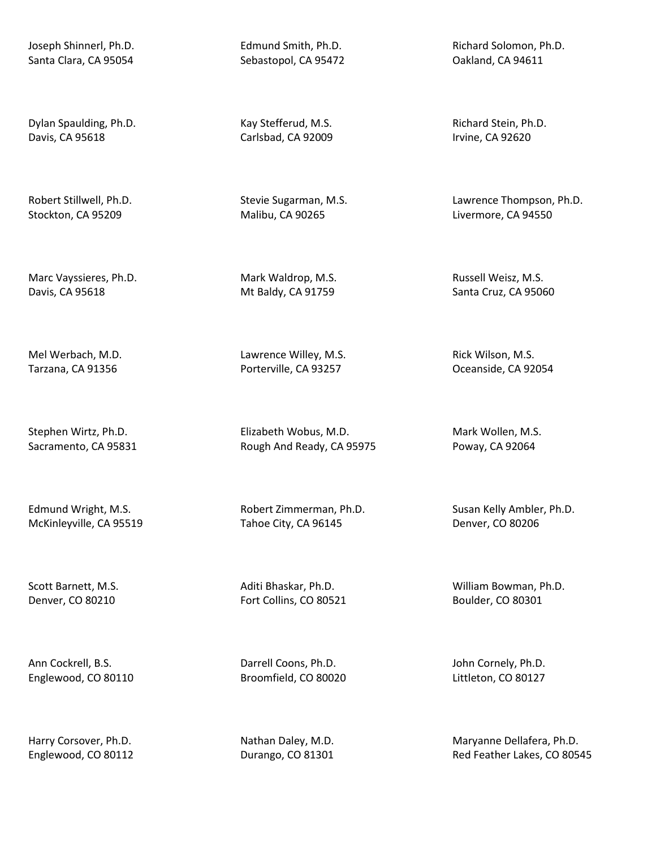Joseph Shinnerl, Ph.D. Santa Clara, CA 95054

Dylan Spaulding, Ph.D. Davis, CA 95618

Robert Stillwell, Ph.D. Stockton, CA 95209

Marc Vayssieres, Ph.D. Davis, CA 95618

Mel Werbach, M.D. Tarzana, CA 91356

Stephen Wirtz, Ph.D. Sacramento, CA 95831

Edmund Wright, M.S. McKinleyville, CA 95519

Scott Barnett, M.S. Denver, CO 80210

Ann Cockrell, B.S. Englewood, CO 80110

Harry Corsover, Ph.D. Englewood, CO 80112 Edmund Smith, Ph.D. Sebastopol, CA 95472

Kay Stefferud, M.S. Carlsbad, CA 92009

Stevie Sugarman, M.S. Malibu, CA 90265

Mark Waldrop, M.S. Mt Baldy, CA 91759

Lawrence Willey, M.S. Porterville, CA 93257

Elizabeth Wobus, M.D. Rough And Ready, CA 95975

Robert Zimmerman, Ph.D. Tahoe City, CA 96145

Aditi Bhaskar, Ph.D. Fort Collins, CO 80521

Darrell Coons, Ph.D. Broomfield, CO 80020

Nathan Daley, M.D. Durango, CO 81301 Richard Solomon, Ph.D. Oakland, CA 94611

Richard Stein, Ph.D. Irvine, CA 92620

Lawrence Thompson, Ph.D. Livermore, CA 94550

Russell Weisz, M.S. Santa Cruz, CA 95060

Rick Wilson, M.S. Oceanside, CA 92054

Mark Wollen, M.S. Poway, CA 92064

Susan Kelly Ambler, Ph.D. Denver, CO 80206

William Bowman, Ph.D. Boulder, CO 80301

John Cornely, Ph.D. Littleton, CO 80127

Maryanne Dellafera, Ph.D. Red Feather Lakes, CO 80545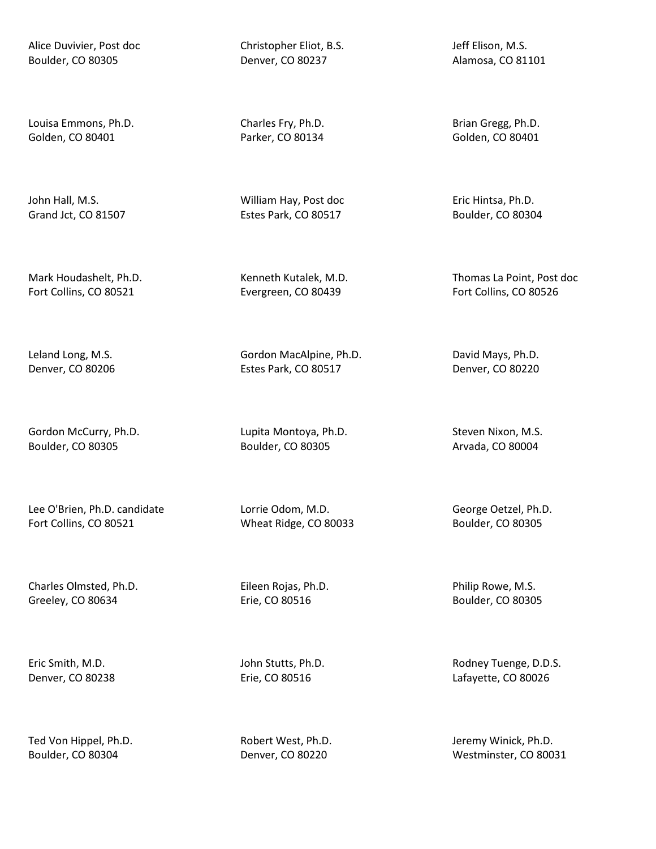Alice Duvivier, Post doc Boulder, CO 80305

Louisa Emmons, Ph.D. Golden, CO 80401

John Hall, M.S. Grand Jct, CO 81507

Mark Houdashelt, Ph.D. Fort Collins, CO 80521

Leland Long, M.S. Denver, CO 80206

Gordon McCurry, Ph.D. Boulder, CO 80305

Lee O'Brien, Ph.D. candidate Fort Collins, CO 80521

Charles Olmsted, Ph.D. Greeley, CO 80634

Eric Smith, M.D. Denver, CO 80238

Ted Von Hippel, Ph.D. Boulder, CO 80304

Christopher Eliot, B.S. Denver, CO 80237

Charles Fry, Ph.D. Parker, CO 80134

William Hay, Post doc Estes Park, CO 80517

Kenneth Kutalek, M.D. Evergreen, CO 80439

Gordon MacAlpine, Ph.D. Estes Park, CO 80517

Lupita Montoya, Ph.D. Boulder, CO 80305

Lorrie Odom, M.D. Wheat Ridge, CO 80033

Eileen Rojas, Ph.D. Erie, CO 80516

John Stutts, Ph.D. Erie, CO 80516

Robert West, Ph.D. Denver, CO 80220

Jeff Elison, M.S. Alamosa, CO 81101

Brian Gregg, Ph.D. Golden, CO 80401

Eric Hintsa, Ph.D. Boulder, CO 80304

Thomas La Point, Post doc Fort Collins, CO 80526

David Mays, Ph.D. Denver, CO 80220

Steven Nixon, M.S. Arvada, CO 80004

George Oetzel, Ph.D. Boulder, CO 80305

Philip Rowe, M.S. Boulder, CO 80305

Rodney Tuenge, D.D.S. Lafayette, CO 80026

Jeremy Winick, Ph.D. Westminster, CO 80031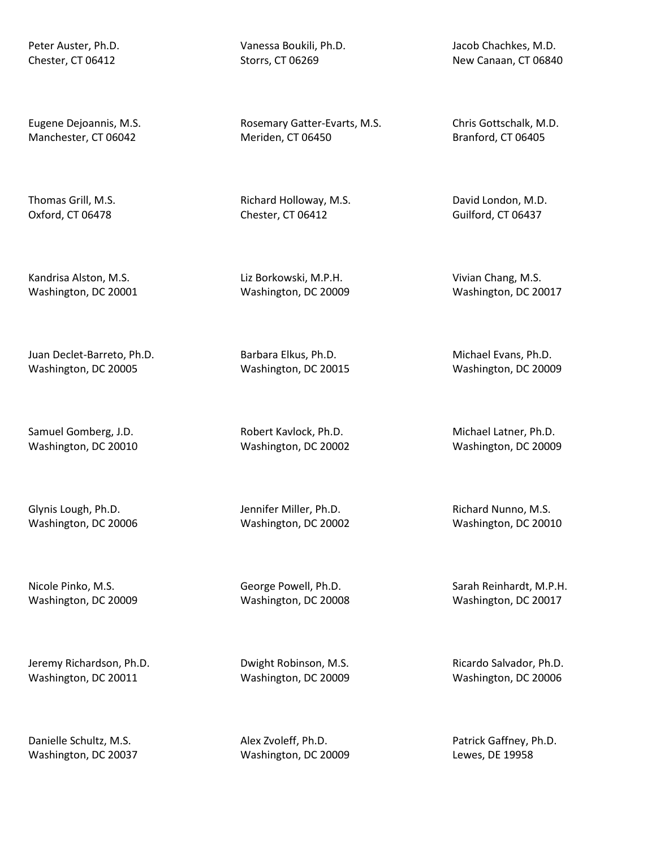Peter Auster, Ph.D. Chester, CT 06412

Eugene Dejoannis, M.S. Manchester, CT 06042

Thomas Grill, M.S. Oxford, CT 06478

Kandrisa Alston, M.S. Washington, DC 20001

Juan Declet-Barreto, Ph.D. Washington, DC 20005

Samuel Gomberg, J.D. Washington, DC 20010

Glynis Lough, Ph.D. Washington, DC 20006

Nicole Pinko, M.S. Washington, DC 20009

Jeremy Richardson, Ph.D. Washington, DC 20011

Danielle Schultz, M.S. Washington, DC 20037 Vanessa Boukili, Ph.D. Storrs, CT 06269

Rosemary Gatter-Evarts, M.S. Meriden, CT 06450

Richard Holloway, M.S. Chester, CT 06412

Liz Borkowski, M.P.H. Washington, DC 20009

Barbara Elkus, Ph.D. Washington, DC 20015

Robert Kavlock, Ph.D. Washington, DC 20002

Jennifer Miller, Ph.D. Washington, DC 20002

George Powell, Ph.D. Washington, DC 20008

Dwight Robinson, M.S. Washington, DC 20009

Alex Zvoleff, Ph.D. Washington, DC 20009 Jacob Chachkes, M.D. New Canaan, CT 06840

Chris Gottschalk, M.D. Branford, CT 06405

David London, M.D. Guilford, CT 06437

Vivian Chang, M.S. Washington, DC 20017

Michael Evans, Ph.D. Washington, DC 20009

Michael Latner, Ph.D. Washington, DC 20009

Richard Nunno, M.S. Washington, DC 20010

Sarah Reinhardt, M.P.H. Washington, DC 20017

Ricardo Salvador, Ph.D. Washington, DC 20006

Patrick Gaffney, Ph.D. Lewes, DE 19958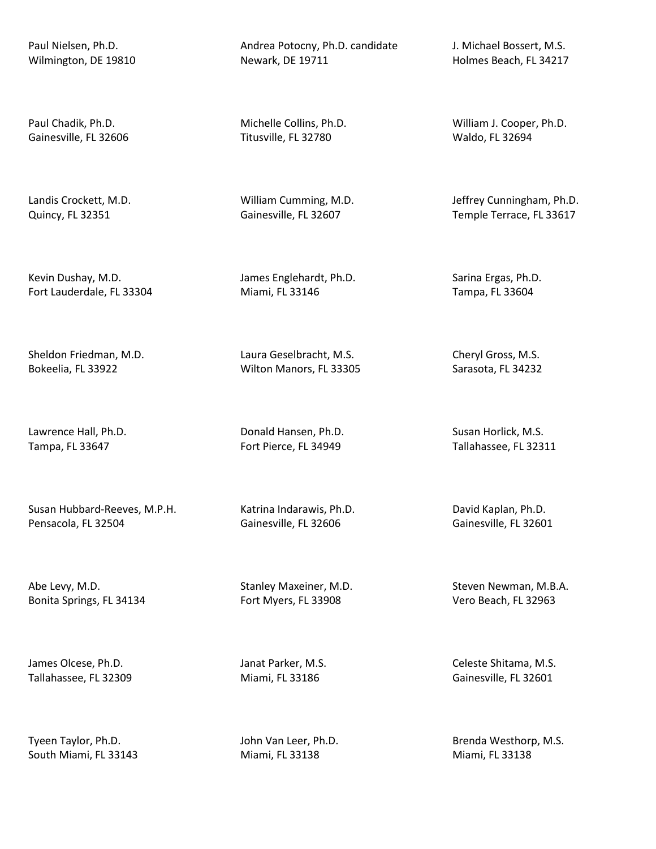Paul Nielsen, Ph.D. Wilmington, DE 19810

Paul Chadik, Ph.D. Gainesville, FL 32606

Landis Crockett, M.D. Quincy, FL 32351

Kevin Dushay, M.D. Fort Lauderdale, FL 33304

Sheldon Friedman, M.D. Bokeelia, FL 33922

Lawrence Hall, Ph.D. Tampa, FL 33647

Susan Hubbard-Reeves, M.P.H. Pensacola, FL 32504

Abe Levy, M.D. Bonita Springs, FL 34134

James Olcese, Ph.D. Tallahassee, FL 32309

Tyeen Taylor, Ph.D. South Miami, FL 33143 Andrea Potocny, Ph.D. candidate Newark, DE 19711

Michelle Collins, Ph.D. Titusville, FL 32780

William Cumming, M.D. Gainesville, FL 32607

James Englehardt, Ph.D. Miami, FL 33146

Laura Geselbracht, M.S. Wilton Manors, FL 33305

Donald Hansen, Ph.D. Fort Pierce, FL 34949

Katrina Indarawis, Ph.D. Gainesville, FL 32606

Stanley Maxeiner, M.D. Fort Myers, FL 33908

Janat Parker, M.S. Miami, FL 33186

John Van Leer, Ph.D. Miami, FL 33138

J. Michael Bossert, M.S. Holmes Beach, FL 34217

William J. Cooper, Ph.D. Waldo, FL 32694

Jeffrey Cunningham, Ph.D. Temple Terrace, FL 33617

Sarina Ergas, Ph.D. Tampa, FL 33604

Cheryl Gross, M.S. Sarasota, FL 34232

Susan Horlick, M.S. Tallahassee, FL 32311

David Kaplan, Ph.D. Gainesville, FL 32601

Steven Newman, M.B.A. Vero Beach, FL 32963

Celeste Shitama, M.S. Gainesville, FL 32601

Brenda Westhorp, M.S. Miami, FL 33138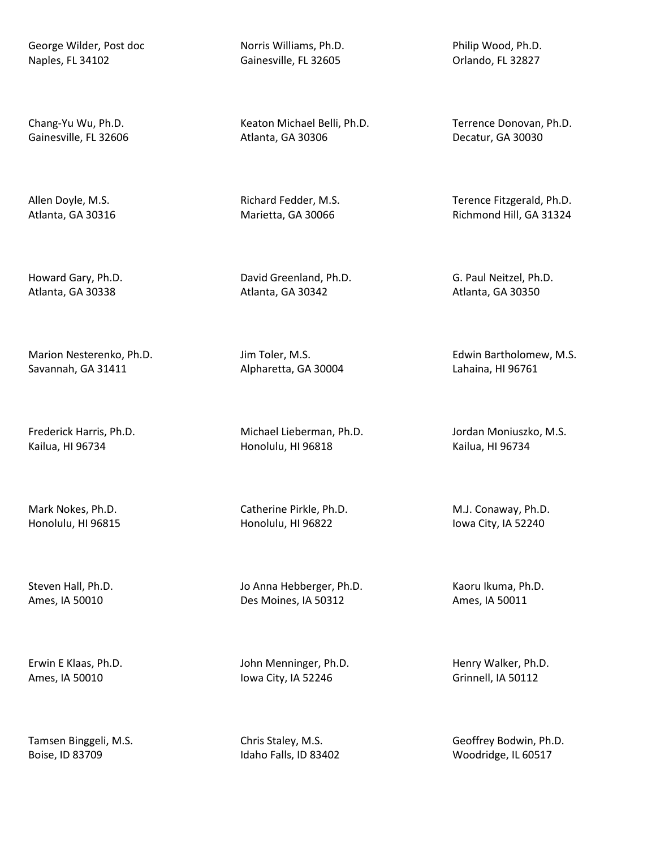George Wilder, Post doc Naples, FL 34102

Chang-Yu Wu, Ph.D. Gainesville, FL 32606

Allen Doyle, M.S. Atlanta, GA 30316

Howard Gary, Ph.D. Atlanta, GA 30338

Marion Nesterenko, Ph.D. Savannah, GA 31411

Frederick Harris, Ph.D. Kailua, HI 96734

Mark Nokes, Ph.D. Honolulu, HI 96815

Steven Hall, Ph.D. Ames, IA 50010

Erwin E Klaas, Ph.D. Ames, IA 50010

Tamsen Binggeli, M.S. Boise, ID 83709

Norris Williams, Ph.D. Gainesville, FL 32605

Keaton Michael Belli, Ph.D. Atlanta, GA 30306

Richard Fedder, M.S. Marietta, GA 30066

David Greenland, Ph.D. Atlanta, GA 30342

Jim Toler, M.S. Alpharetta, GA 30004

Michael Lieberman, Ph.D. Honolulu, HI 96818

Catherine Pirkle, Ph.D. Honolulu, HI 96822

Jo Anna Hebberger, Ph.D. Des Moines, IA 50312

John Menninger, Ph.D. Iowa City, IA 52246

Chris Staley, M.S. Idaho Falls, ID 83402 Philip Wood, Ph.D. Orlando, FL 32827

Terrence Donovan, Ph.D. Decatur, GA 30030

Terence Fitzgerald, Ph.D. Richmond Hill, GA 31324

G. Paul Neitzel, Ph.D. Atlanta, GA 30350

Edwin Bartholomew, M.S. Lahaina, HI 96761

Jordan Moniuszko, M.S. Kailua, HI 96734

M.J. Conaway, Ph.D. Iowa City, IA 52240

Kaoru Ikuma, Ph.D. Ames, IA 50011

Henry Walker, Ph.D. Grinnell, IA 50112

Geoffrey Bodwin, Ph.D. Woodridge, IL 60517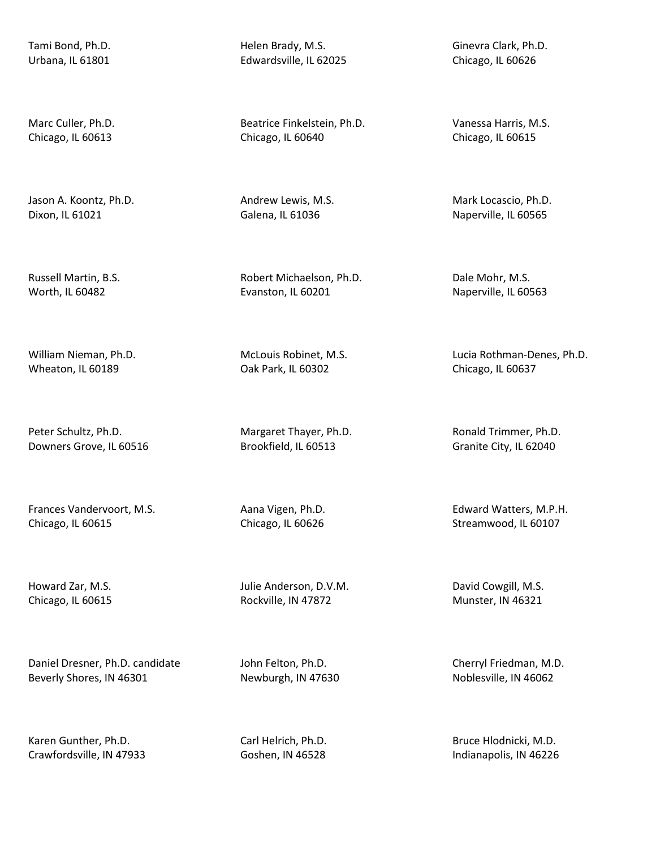Tami Bond, Ph.D. Urbana, IL 61801

Marc Culler, Ph.D. Chicago, IL 60613

Jason A. Koontz, Ph.D. Dixon, IL 61021

Russell Martin, B.S. Worth, IL 60482

William Nieman, Ph.D. Wheaton, IL 60189

Peter Schultz, Ph.D. Downers Grove, IL 60516

Frances Vandervoort, M.S. Chicago, IL 60615

Howard Zar, M.S. Chicago, IL 60615

Daniel Dresner, Ph.D. candidate Beverly Shores, IN 46301

Karen Gunther, Ph.D. Crawfordsville, IN 47933 Helen Brady, M.S. Edwardsville, IL 62025

Beatrice Finkelstein, Ph.D. Chicago, IL 60640

Andrew Lewis, M.S. Galena, IL 61036

Robert Michaelson, Ph.D. Evanston, IL 60201

McLouis Robinet, M.S. Oak Park, IL 60302

Margaret Thayer, Ph.D. Brookfield, IL 60513

Aana Vigen, Ph.D. Chicago, IL 60626

Julie Anderson, D.V.M. Rockville, IN 47872

John Felton, Ph.D. Newburgh, IN 47630

Carl Helrich, Ph.D. Goshen, IN 46528

Ginevra Clark, Ph.D. Chicago, IL 60626

Vanessa Harris, M.S. Chicago, IL 60615

Mark Locascio, Ph.D. Naperville, IL 60565

Dale Mohr, M.S. Naperville, IL 60563

Lucia Rothman-Denes, Ph.D. Chicago, IL 60637

Ronald Trimmer, Ph.D. Granite City, IL 62040

Edward Watters, M.P.H. Streamwood, IL 60107

David Cowgill, M.S. Munster, IN 46321

Cherryl Friedman, M.D. Noblesville, IN 46062

Bruce Hlodnicki, M.D. Indianapolis, IN 46226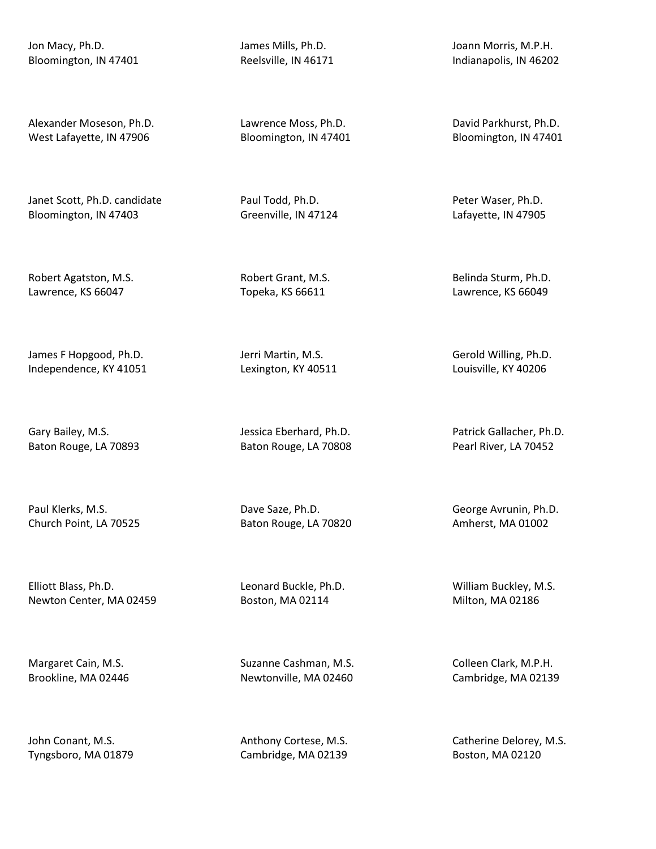Jon Macy, Ph.D. Bloomington, IN 47401

Alexander Moseson, Ph.D. West Lafayette, IN 47906

Janet Scott, Ph.D. candidate Bloomington, IN 47403

Robert Agatston, M.S. Lawrence, KS 66047

James F Hopgood, Ph.D. Independence, KY 41051

Gary Bailey, M.S. Baton Rouge, LA 70893

Paul Klerks, M.S. Church Point, LA 70525

Elliott Blass, Ph.D. Newton Center, MA 02459

Margaret Cain, M.S. Brookline, MA 02446

John Conant, M.S. Tyngsboro, MA 01879 James Mills, Ph.D. Reelsville, IN 46171

Lawrence Moss, Ph.D. Bloomington, IN 47401

Paul Todd, Ph.D. Greenville, IN 47124

Robert Grant, M.S. Topeka, KS 66611

Jerri Martin, M.S. Lexington, KY 40511

Jessica Eberhard, Ph.D. Baton Rouge, LA 70808

Dave Saze, Ph.D. Baton Rouge, LA 70820

Leonard Buckle, Ph.D. Boston, MA 02114

Suzanne Cashman, M.S. Newtonville, MA 02460

Anthony Cortese, M.S. Cambridge, MA 02139

Joann Morris, M.P.H. Indianapolis, IN 46202

David Parkhurst, Ph.D. Bloomington, IN 47401

Peter Waser, Ph.D. Lafayette, IN 47905

Belinda Sturm, Ph.D. Lawrence, KS 66049

Gerold Willing, Ph.D. Louisville, KY 40206

Patrick Gallacher, Ph.D. Pearl River, LA 70452

George Avrunin, Ph.D. Amherst, MA 01002

William Buckley, M.S. Milton, MA 02186

Colleen Clark, M.P.H. Cambridge, MA 02139

Catherine Delorey, M.S. Boston, MA 02120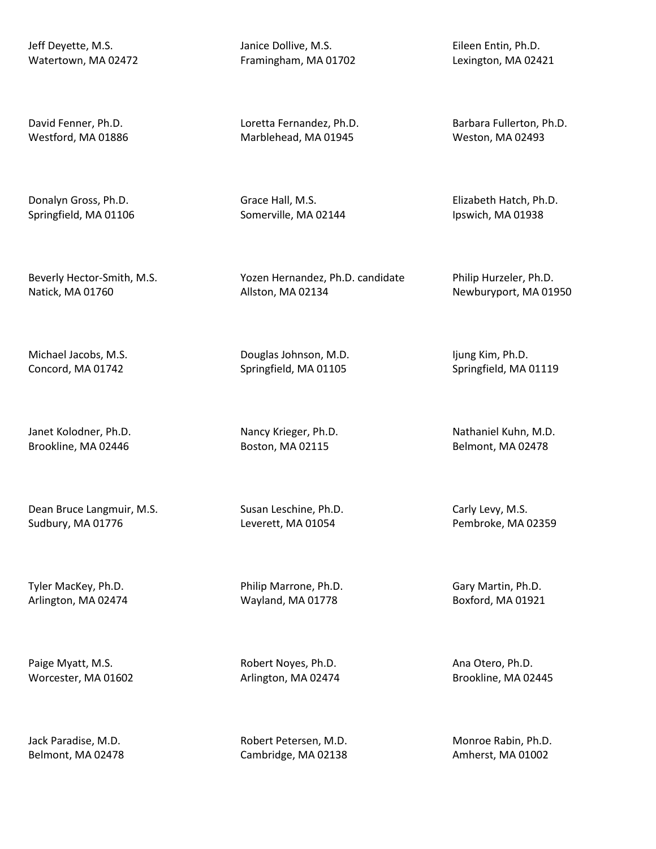Jeff Deyette, M.S. Watertown, MA 02472

David Fenner, Ph.D. Westford, MA 01886

Donalyn Gross, Ph.D. Springfield, MA 01106

Beverly Hector-Smith, M.S. Natick, MA 01760

Michael Jacobs, M.S. Concord, MA 01742

Janet Kolodner, Ph.D. Brookline, MA 02446

Dean Bruce Langmuir, M.S. Sudbury, MA 01776

Tyler MacKey, Ph.D. Arlington, MA 02474

Paige Myatt, M.S. Worcester, MA 01602

Jack Paradise, M.D. Belmont, MA 02478 Janice Dollive, M.S. Framingham, MA 01702

Loretta Fernandez, Ph.D. Marblehead, MA 01945

Grace Hall, M.S. Somerville, MA 02144

Yozen Hernandez, Ph.D. candidate Allston, MA 02134

Douglas Johnson, M.D. Springfield, MA 01105

Nancy Krieger, Ph.D. Boston, MA 02115

Susan Leschine, Ph.D. Leverett, MA 01054

Philip Marrone, Ph.D. Wayland, MA 01778

Robert Noyes, Ph.D. Arlington, MA 02474

Robert Petersen, M.D. Cambridge, MA 02138

Eileen Entin, Ph.D. Lexington, MA 02421

Barbara Fullerton, Ph.D. Weston, MA 02493

Elizabeth Hatch, Ph.D. Ipswich, MA 01938

Philip Hurzeler, Ph.D. Newburyport, MA 01950

Ijung Kim, Ph.D. Springfield, MA 01119

Nathaniel Kuhn, M.D. Belmont, MA 02478

Carly Levy, M.S. Pembroke, MA 02359

Gary Martin, Ph.D. Boxford, MA 01921

Ana Otero, Ph.D. Brookline, MA 02445

Monroe Rabin, Ph.D. Amherst, MA 01002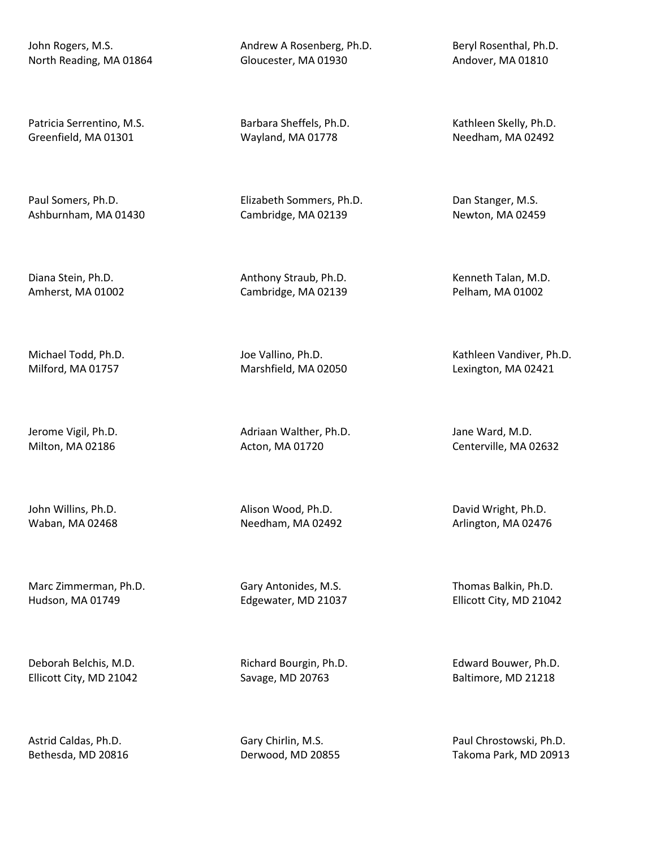John Rogers, M.S. North Reading, MA 01864

Patricia Serrentino, M.S. Greenfield, MA 01301

Paul Somers, Ph.D. Ashburnham, MA 01430

Diana Stein, Ph.D. Amherst, MA 01002

Michael Todd, Ph.D. Milford, MA 01757

Jerome Vigil, Ph.D. Milton, MA 02186

John Willins, Ph.D. Waban, MA 02468

Marc Zimmerman, Ph.D. Hudson, MA 01749

Deborah Belchis, M.D. Ellicott City, MD 21042

Astrid Caldas, Ph.D. Bethesda, MD 20816 Andrew A Rosenberg, Ph.D. Gloucester, MA 01930

Barbara Sheffels, Ph.D. Wayland, MA 01778

Elizabeth Sommers, Ph.D. Cambridge, MA 02139

Anthony Straub, Ph.D. Cambridge, MA 02139

Joe Vallino, Ph.D. Marshfield, MA 02050

Adriaan Walther, Ph.D. Acton, MA 01720

Alison Wood, Ph.D. Needham, MA 02492

Gary Antonides, M.S. Edgewater, MD 21037

Richard Bourgin, Ph.D. Savage, MD 20763

Gary Chirlin, M.S. Derwood, MD 20855 Beryl Rosenthal, Ph.D. Andover, MA 01810

Kathleen Skelly, Ph.D. Needham, MA 02492

Dan Stanger, M.S. Newton, MA 02459

Kenneth Talan, M.D. Pelham, MA 01002

Kathleen Vandiver, Ph.D. Lexington, MA 02421

Jane Ward, M.D. Centerville, MA 02632

David Wright, Ph.D. Arlington, MA 02476

Thomas Balkin, Ph.D. Ellicott City, MD 21042

Edward Bouwer, Ph.D. Baltimore, MD 21218

Paul Chrostowski, Ph.D. Takoma Park, MD 20913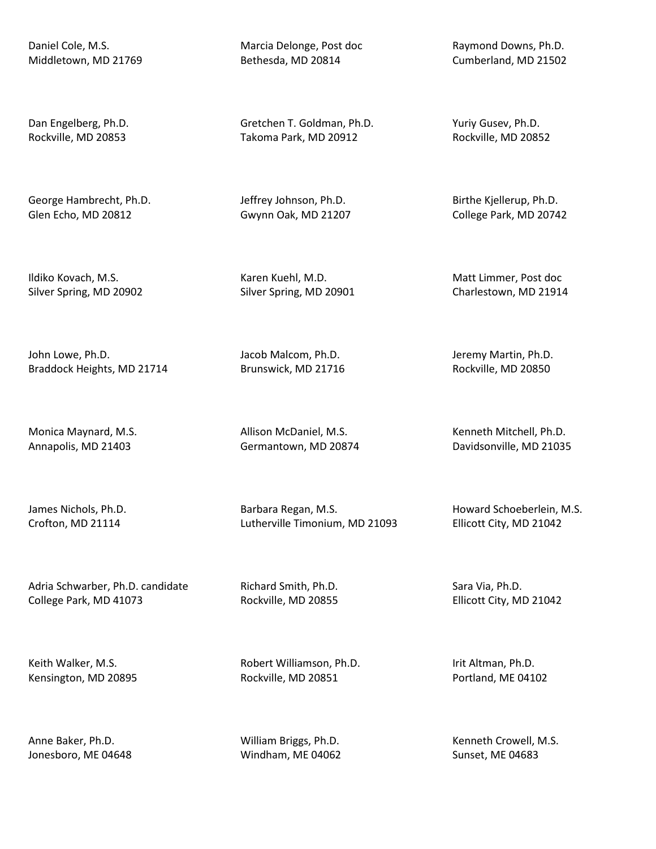Daniel Cole, M.S. Middletown, MD 21769

Dan Engelberg, Ph.D. Rockville, MD 20853

George Hambrecht, Ph.D. Glen Echo, MD 20812

Ildiko Kovach, M.S. Silver Spring, MD 20902

John Lowe, Ph.D. Braddock Heights, MD 21714

Monica Maynard, M.S. Annapolis, MD 21403

James Nichols, Ph.D. Crofton, MD 21114

Adria Schwarber, Ph.D. candidate College Park, MD 41073

Keith Walker, M.S. Kensington, MD 20895

Anne Baker, Ph.D. Jonesboro, ME 04648 Marcia Delonge, Post doc Bethesda, MD 20814

Gretchen T. Goldman, Ph.D. Takoma Park, MD 20912

Jeffrey Johnson, Ph.D. Gwynn Oak, MD 21207

Karen Kuehl, M.D. Silver Spring, MD 20901

Jacob Malcom, Ph.D. Brunswick, MD 21716

Allison McDaniel, M.S. Germantown, MD 20874

Barbara Regan, M.S. Lutherville Timonium, MD 21093

Richard Smith, Ph.D. Rockville, MD 20855

Robert Williamson, Ph.D. Rockville, MD 20851

William Briggs, Ph.D. Windham, ME 04062

Raymond Downs, Ph.D. Cumberland, MD 21502

Yuriy Gusev, Ph.D. Rockville, MD 20852

Birthe Kjellerup, Ph.D. College Park, MD 20742

Matt Limmer, Post doc Charlestown, MD 21914

Jeremy Martin, Ph.D. Rockville, MD 20850

Kenneth Mitchell, Ph.D. Davidsonville, MD 21035

Howard Schoeberlein, M.S. Ellicott City, MD 21042

Sara Via, Ph.D. Ellicott City, MD 21042

Irit Altman, Ph.D. Portland, ME 04102

Kenneth Crowell, M.S. Sunset, ME 04683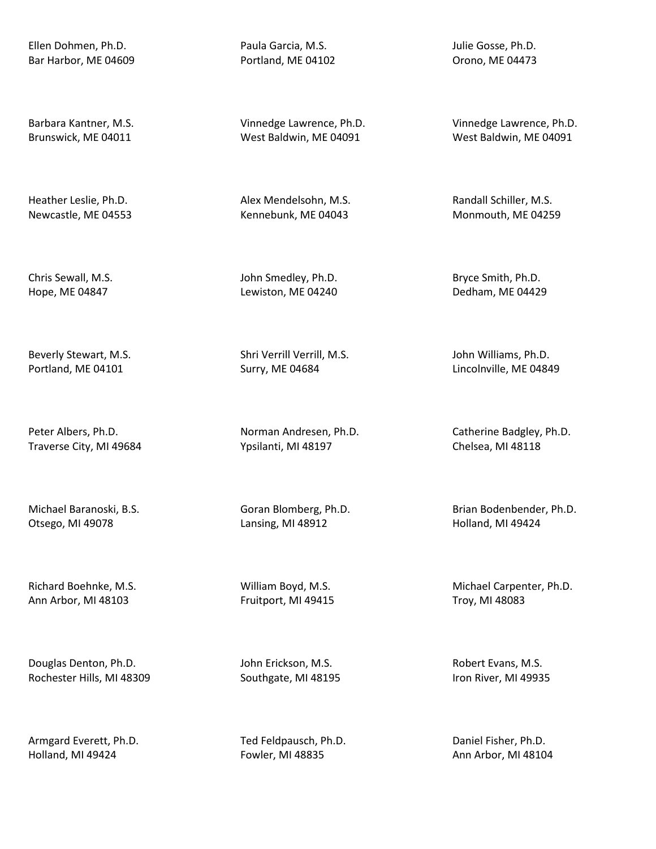Ellen Dohmen, Ph.D. Bar Harbor, ME 04609

Barbara Kantner, M.S. Brunswick, ME 04011

Heather Leslie, Ph.D. Newcastle, ME 04553

Chris Sewall, M.S. Hope, ME 04847

Beverly Stewart, M.S. Portland, ME 04101

Peter Albers, Ph.D. Traverse City, MI 49684

Michael Baranoski, B.S. Otsego, MI 49078

Richard Boehnke, M.S. Ann Arbor, MI 48103

Douglas Denton, Ph.D. Rochester Hills, MI 48309

Armgard Everett, Ph.D. Holland, MI 49424

Paula Garcia, M.S. Portland, ME 04102

Vinnedge Lawrence, Ph.D. West Baldwin, ME 04091

Alex Mendelsohn, M.S. Kennebunk, ME 04043

John Smedley, Ph.D. Lewiston, ME 04240

Shri Verrill Verrill, M.S. Surry, ME 04684

Norman Andresen, Ph.D. Ypsilanti, MI 48197

Goran Blomberg, Ph.D. Lansing, MI 48912

William Boyd, M.S. Fruitport, MI 49415

John Erickson, M.S. Southgate, MI 48195

Ted Feldpausch, Ph.D. Fowler, MI 48835

Julie Gosse, Ph.D. Orono, ME 04473

Vinnedge Lawrence, Ph.D. West Baldwin, ME 04091

Randall Schiller, M.S. Monmouth, ME 04259

Bryce Smith, Ph.D. Dedham, ME 04429

John Williams, Ph.D. Lincolnville, ME 04849

Catherine Badgley, Ph.D. Chelsea, MI 48118

Brian Bodenbender, Ph.D. Holland, MI 49424

Michael Carpenter, Ph.D. Troy, MI 48083

Robert Evans, M.S. Iron River, MI 49935

Daniel Fisher, Ph.D. Ann Arbor, MI 48104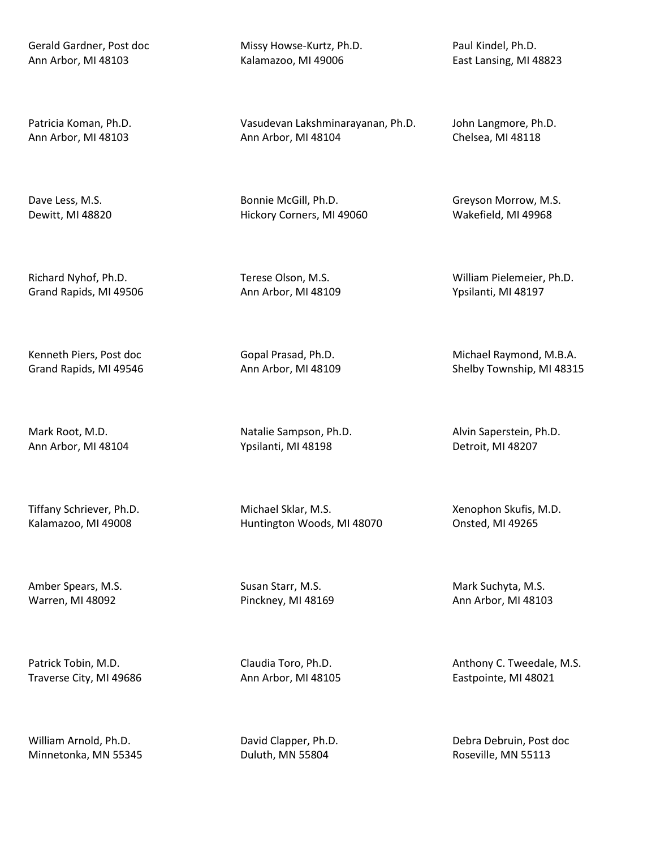Gerald Gardner, Post doc Ann Arbor, MI 48103

Patricia Koman, Ph.D. Ann Arbor, MI 48103

Dave Less, M.S. Dewitt, MI 48820

Richard Nyhof, Ph.D. Grand Rapids, MI 49506

Kenneth Piers, Post doc Grand Rapids, MI 49546

Mark Root, M.D. Ann Arbor, MI 48104

Tiffany Schriever, Ph.D. Kalamazoo, MI 49008

Amber Spears, M.S. Warren, MI 48092

Patrick Tobin, M.D. Traverse City, MI 49686

William Arnold, Ph.D. Minnetonka, MN 55345 Missy Howse-Kurtz, Ph.D. Kalamazoo, MI 49006

Vasudevan Lakshminarayanan, Ph.D. Ann Arbor, MI 48104

Bonnie McGill, Ph.D. Hickory Corners, MI 49060

Terese Olson, M.S. Ann Arbor, MI 48109

Gopal Prasad, Ph.D. Ann Arbor, MI 48109

Natalie Sampson, Ph.D. Ypsilanti, MI 48198

Michael Sklar, M.S. Huntington Woods, MI 48070

Susan Starr, M.S. Pinckney, MI 48169

Claudia Toro, Ph.D. Ann Arbor, MI 48105

David Clapper, Ph.D. Duluth, MN 55804

Paul Kindel, Ph.D. East Lansing, MI 48823

John Langmore, Ph.D. Chelsea, MI 48118

Greyson Morrow, M.S. Wakefield, MI 49968

William Pielemeier, Ph.D. Ypsilanti, MI 48197

Michael Raymond, M.B.A. Shelby Township, MI 48315

Alvin Saperstein, Ph.D. Detroit, MI 48207

Xenophon Skufis, M.D. Onsted, MI 49265

Mark Suchyta, M.S. Ann Arbor, MI 48103

Anthony C. Tweedale, M.S. Eastpointe, MI 48021

Debra Debruin, Post doc Roseville, MN 55113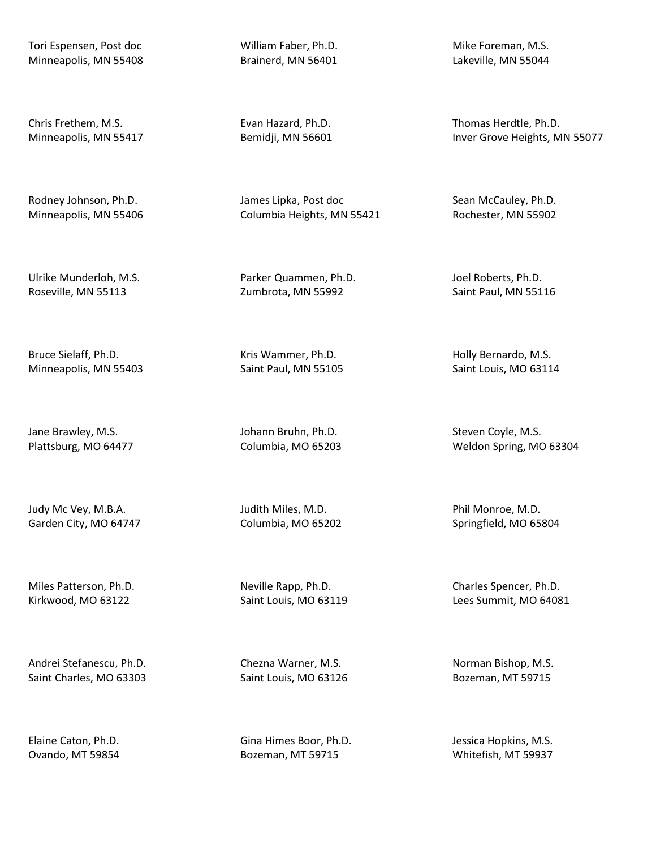Tori Espensen, Post doc Minneapolis, MN 55408

Chris Frethem, M.S. Minneapolis, MN 55417

Rodney Johnson, Ph.D. Minneapolis, MN 55406

Ulrike Munderloh, M.S. Roseville, MN 55113

Bruce Sielaff, Ph.D. Minneapolis, MN 55403

Jane Brawley, M.S. Plattsburg, MO 64477

Judy Mc Vey, M.B.A. Garden City, MO 64747

Miles Patterson, Ph.D. Kirkwood, MO 63122

Andrei Stefanescu, Ph.D. Saint Charles, MO 63303

Elaine Caton, Ph.D. Ovando, MT 59854 William Faber, Ph.D. Brainerd, MN 56401

Evan Hazard, Ph.D. Bemidji, MN 56601

James Lipka, Post doc Columbia Heights, MN 55421

Parker Quammen, Ph.D. Zumbrota, MN 55992

Kris Wammer, Ph.D. Saint Paul, MN 55105

Johann Bruhn, Ph.D. Columbia, MO 65203

Judith Miles, M.D. Columbia, MO 65202

Neville Rapp, Ph.D. Saint Louis, MO 63119

Chezna Warner, M.S. Saint Louis, MO 63126

Gina Himes Boor, Ph.D. Bozeman, MT 59715

Mike Foreman, M.S. Lakeville, MN 55044

Thomas Herdtle, Ph.D. Inver Grove Heights, MN 55077

Sean McCauley, Ph.D. Rochester, MN 55902

Joel Roberts, Ph.D. Saint Paul, MN 55116

Holly Bernardo, M.S. Saint Louis, MO 63114

Steven Coyle, M.S. Weldon Spring, MO 63304

Phil Monroe, M.D. Springfield, MO 65804

Charles Spencer, Ph.D. Lees Summit, MO 64081

Norman Bishop, M.S. Bozeman, MT 59715

Jessica Hopkins, M.S. Whitefish, MT 59937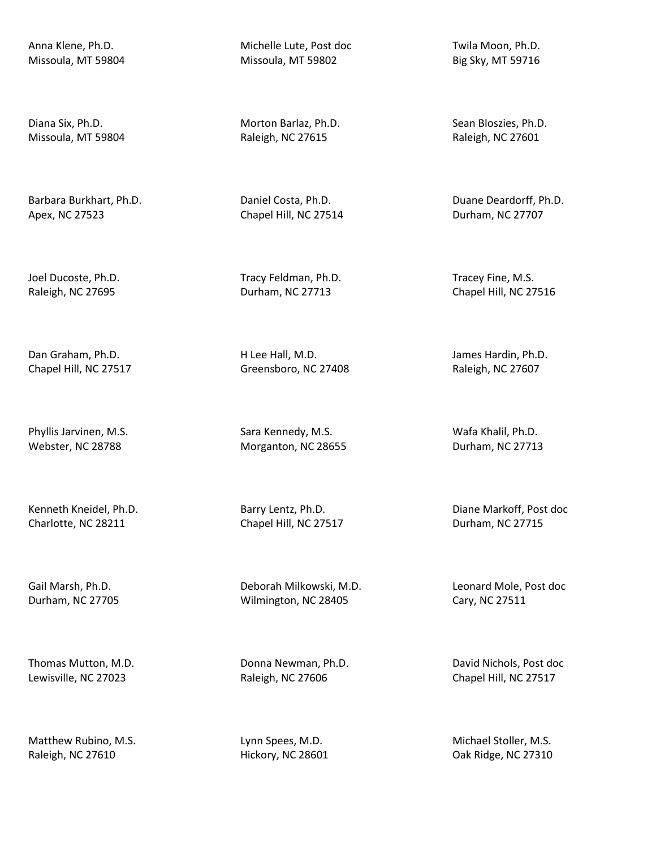Anna Klene, Ph.D. Missoula, MT 59804

Diana Six, Ph.D. Missoula, MT 59804

Barbara Burkhart, Ph.D. Apex, NC 27523

Joel Ducoste, Ph.D. Raleigh, NC 27695

Dan Graham, Ph.D. Chapel Hill, NC 27517

Phyllis Jarvinen, M.S. Webster, NC 28788

Kenneth Kneidel, Ph.D. Charlotte, NC 28211

Gail Marsh, Ph.D. Durham, NC 27705

Thomas Mutton, M.D. Lewisville, NC 27023

Matthew Rubino, M.S. Raleigh, NC 27610

Michelle Lute, Post doc Missoula, MT 59802

Morton Barlaz, Ph.D. Raleigh, NC 27615

Daniel Costa, Ph.D. Chapel Hill, NC 27514

Tracy Feldman, Ph.D. Durham, NC 27713

H Lee Hall, M.D. Greensboro, NC 27408

Sara Kennedy, M.S. Morganton, NC 28655

Barry Lentz, Ph.D. Chapel Hill, NC 27517

Deborah Milkowski, M.D. Wilmington, NC 28405

Donna Newman, Ph.D. Raleigh, NC 27606

Lynn Spees, M.D. Hickory, NC 28601 Twila Moon, Ph.D. Big Sky, MT 59716

Sean Bloszies, Ph.D. Raleigh, NC 27601

Duane Deardorff, Ph.D. Durham, NC 27707

Tracey Fine, M.S. Chapel Hill, NC 27516

James Hardin, Ph.D. Raleigh, NC 27607

Wafa Khalil, Ph.D. Durham, NC 27713

Diane Markoff, Post doc Durham, NC 27715

Leonard Mole, Post doc Cary, NC 27511

David Nichols, Post doc Chapel Hill, NC 27517

Michael Stoller, M.S. Oak Ridge, NC 27310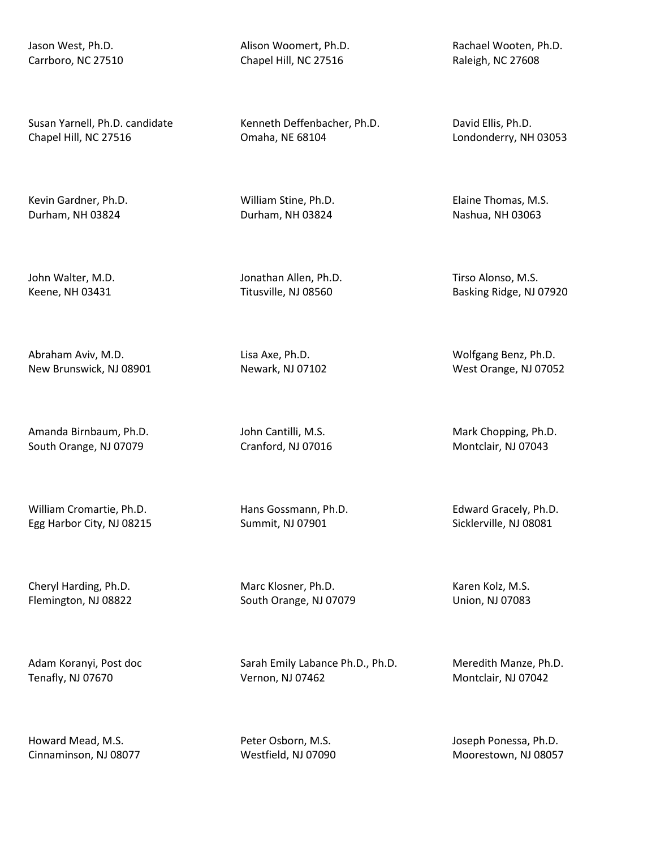Jason West, Ph.D. Carrboro, NC 27510

Susan Yarnell, Ph.D. candidate Chapel Hill, NC 27516

Kevin Gardner, Ph.D. Durham, NH 03824

John Walter, M.D. Keene, NH 03431

Abraham Aviv, M.D. New Brunswick, NJ 08901

Amanda Birnbaum, Ph.D. South Orange, NJ 07079

William Cromartie, Ph.D. Egg Harbor City, NJ 08215

Cheryl Harding, Ph.D. Flemington, NJ 08822

Adam Koranyi, Post doc Tenafly, NJ 07670

Howard Mead, M.S. Cinnaminson, NJ 08077 Alison Woomert, Ph.D. Chapel Hill, NC 27516

Kenneth Deffenbacher, Ph.D. Omaha, NE 68104

William Stine, Ph.D. Durham, NH 03824

Jonathan Allen, Ph.D. Titusville, NJ 08560

Lisa Axe, Ph.D. Newark, NJ 07102

John Cantilli, M.S. Cranford, NJ 07016

Hans Gossmann, Ph.D. Summit, NJ 07901

Marc Klosner, Ph.D. South Orange, NJ 07079

Sarah Emily Labance Ph.D., Ph.D. Vernon, NJ 07462

Peter Osborn, M.S. Westfield, NJ 07090 Rachael Wooten, Ph.D. Raleigh, NC 27608

David Ellis, Ph.D. Londonderry, NH 03053

Elaine Thomas, M.S. Nashua, NH 03063

Tirso Alonso, M.S. Basking Ridge, NJ 07920

Wolfgang Benz, Ph.D. West Orange, NJ 07052

Mark Chopping, Ph.D. Montclair, NJ 07043

Edward Gracely, Ph.D. Sicklerville, NJ 08081

Karen Kolz, M.S. Union, NJ 07083

Meredith Manze, Ph.D. Montclair, NJ 07042

Joseph Ponessa, Ph.D. Moorestown, NJ 08057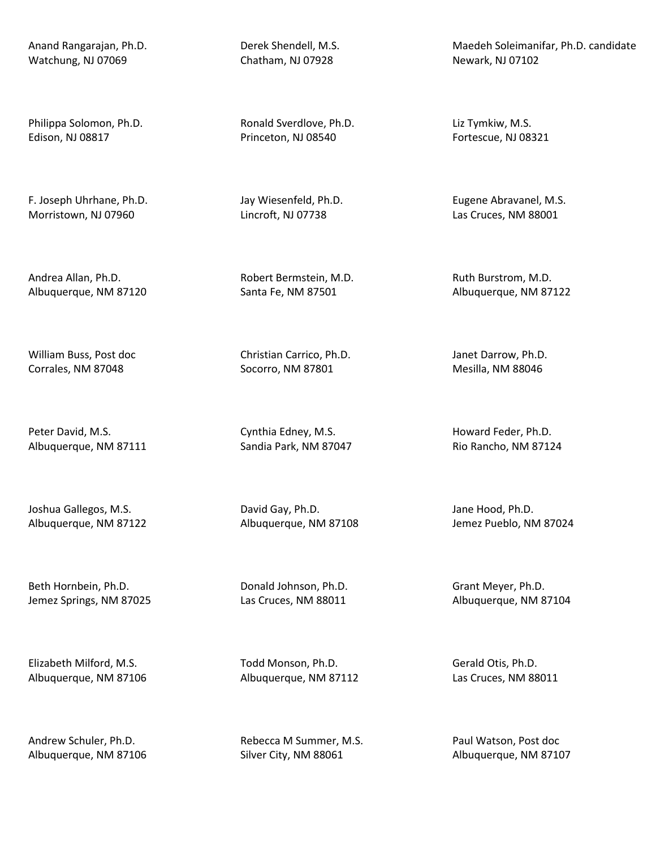Anand Rangarajan, Ph.D. Watchung, NJ 07069

Philippa Solomon, Ph.D. Edison, NJ 08817

F. Joseph Uhrhane, Ph.D. Morristown, NJ 07960

Andrea Allan, Ph.D. Albuquerque, NM 87120

William Buss, Post doc Corrales, NM 87048

Peter David, M.S. Albuquerque, NM 87111

Joshua Gallegos, M.S. Albuquerque, NM 87122

Beth Hornbein, Ph.D. Jemez Springs, NM 87025

Elizabeth Milford, M.S. Albuquerque, NM 87106

Andrew Schuler, Ph.D. Albuquerque, NM 87106 Derek Shendell, M.S. Chatham, NJ 07928

Ronald Sverdlove, Ph.D. Princeton, NJ 08540

Jay Wiesenfeld, Ph.D. Lincroft, NJ 07738

Robert Bermstein, M.D. Santa Fe, NM 87501

Christian Carrico, Ph.D. Socorro, NM 87801

Cynthia Edney, M.S. Sandia Park, NM 87047

David Gay, Ph.D. Albuquerque, NM 87108

Donald Johnson, Ph.D. Las Cruces, NM 88011

Todd Monson, Ph.D. Albuquerque, NM 87112

Rebecca M Summer, M.S. Silver City, NM 88061

Maedeh Soleimanifar, Ph.D. candidate Newark, NJ 07102

Liz Tymkiw, M.S. Fortescue, NJ 08321

Eugene Abravanel, M.S. Las Cruces, NM 88001

Ruth Burstrom, M.D. Albuquerque, NM 87122

Janet Darrow, Ph.D. Mesilla, NM 88046

Howard Feder, Ph.D. Rio Rancho, NM 87124

Jane Hood, Ph.D. Jemez Pueblo, NM 87024

Grant Meyer, Ph.D. Albuquerque, NM 87104

Gerald Otis, Ph.D. Las Cruces, NM 88011

Paul Watson, Post doc Albuquerque, NM 87107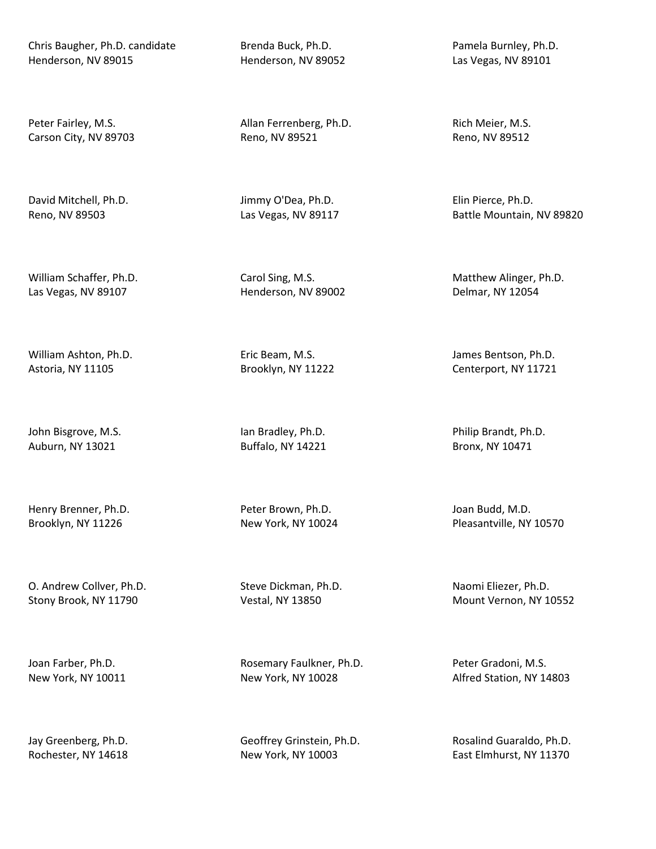Chris Baugher, Ph.D. candidate Henderson, NV 89015

Peter Fairley, M.S. Carson City, NV 89703

David Mitchell, Ph.D. Reno, NV 89503

William Schaffer, Ph.D. Las Vegas, NV 89107

William Ashton, Ph.D. Astoria, NY 11105

John Bisgrove, M.S. Auburn, NY 13021

Henry Brenner, Ph.D. Brooklyn, NY 11226

O. Andrew Collver, Ph.D. Stony Brook, NY 11790

Joan Farber, Ph.D. New York, NY 10011

Jay Greenberg, Ph.D. Rochester, NY 14618 Brenda Buck, Ph.D. Henderson, NV 89052

Allan Ferrenberg, Ph.D. Reno, NV 89521

Jimmy O'Dea, Ph.D. Las Vegas, NV 89117

Carol Sing, M.S. Henderson, NV 89002

Eric Beam, M.S. Brooklyn, NY 11222

Ian Bradley, Ph.D. Buffalo, NY 14221

Peter Brown, Ph.D. New York, NY 10024

Steve Dickman, Ph.D. Vestal, NY 13850

Rosemary Faulkner, Ph.D. New York, NY 10028

Geoffrey Grinstein, Ph.D. New York, NY 10003

Pamela Burnley, Ph.D. Las Vegas, NV 89101

Rich Meier, M.S. Reno, NV 89512

Elin Pierce, Ph.D. Battle Mountain, NV 89820

Matthew Alinger, Ph.D. Delmar, NY 12054

James Bentson, Ph.D. Centerport, NY 11721

Philip Brandt, Ph.D. Bronx, NY 10471

Joan Budd, M.D. Pleasantville, NY 10570

Naomi Eliezer, Ph.D. Mount Vernon, NY 10552

Peter Gradoni, M.S. Alfred Station, NY 14803

Rosalind Guaraldo, Ph.D. East Elmhurst, NY 11370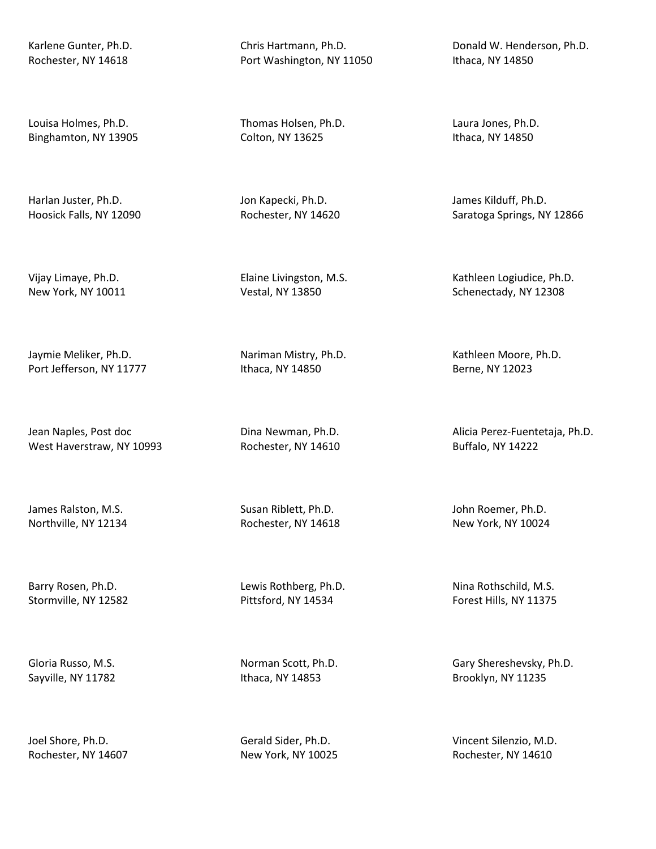Karlene Gunter, Ph.D. Rochester, NY 14618

Louisa Holmes, Ph.D. Binghamton, NY 13905

Harlan Juster, Ph.D. Hoosick Falls, NY 12090

Vijay Limaye, Ph.D. New York, NY 10011

Jaymie Meliker, Ph.D. Port Jefferson, NY 11777

Jean Naples, Post doc West Haverstraw, NY 10993

James Ralston, M.S. Northville, NY 12134

Barry Rosen, Ph.D. Stormville, NY 12582

Gloria Russo, M.S. Sayville, NY 11782

Joel Shore, Ph.D. Rochester, NY 14607 Chris Hartmann, Ph.D. Port Washington, NY 11050

Thomas Holsen, Ph.D. Colton, NY 13625

Jon Kapecki, Ph.D. Rochester, NY 14620

Elaine Livingston, M.S. Vestal, NY 13850

Nariman Mistry, Ph.D. Ithaca, NY 14850

Dina Newman, Ph.D. Rochester, NY 14610

Susan Riblett, Ph.D. Rochester, NY 14618

Lewis Rothberg, Ph.D. Pittsford, NY 14534

Norman Scott, Ph.D. Ithaca, NY 14853

Gerald Sider, Ph.D. New York, NY 10025

Donald W. Henderson, Ph.D. Ithaca, NY 14850

Laura Jones, Ph.D. Ithaca, NY 14850

James Kilduff, Ph.D. Saratoga Springs, NY 12866

Kathleen Logiudice, Ph.D. Schenectady, NY 12308

Kathleen Moore, Ph.D. Berne, NY 12023

Alicia Perez-Fuentetaja, Ph.D. Buffalo, NY 14222

John Roemer, Ph.D. New York, NY 10024

Nina Rothschild, M.S. Forest Hills, NY 11375

Gary Shereshevsky, Ph.D. Brooklyn, NY 11235

Vincent Silenzio, M.D. Rochester, NY 14610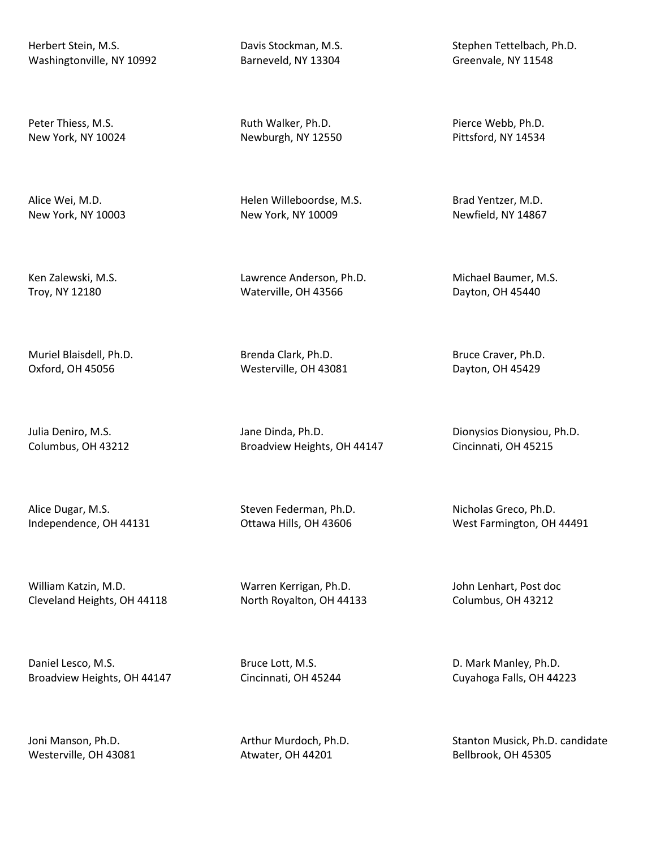Herbert Stein, M.S. Washingtonville, NY 10992

Peter Thiess, M.S. New York, NY 10024

Alice Wei, M.D. New York, NY 10003

Ken Zalewski, M.S. Troy, NY 12180

Muriel Blaisdell, Ph.D. Oxford, OH 45056

Julia Deniro, M.S. Columbus, OH 43212

Alice Dugar, M.S. Independence, OH 44131

William Katzin, M.D. Cleveland Heights, OH 44118

Daniel Lesco, M.S. Broadview Heights, OH 44147

Joni Manson, Ph.D. Westerville, OH 43081 Davis Stockman, M.S. Barneveld, NY 13304

Ruth Walker, Ph.D. Newburgh, NY 12550

Helen Willeboordse, M.S. New York, NY 10009

Lawrence Anderson, Ph.D. Waterville, OH 43566

Brenda Clark, Ph.D. Westerville, OH 43081

Jane Dinda, Ph.D. Broadview Heights, OH 44147

Steven Federman, Ph.D. Ottawa Hills, OH 43606

Warren Kerrigan, Ph.D. North Royalton, OH 44133

Bruce Lott, M.S. Cincinnati, OH 45244

Arthur Murdoch, Ph.D. Atwater, OH 44201

Stephen Tettelbach, Ph.D. Greenvale, NY 11548

Pierce Webb, Ph.D. Pittsford, NY 14534

Brad Yentzer, M.D. Newfield, NY 14867

Michael Baumer, M.S. Dayton, OH 45440

Bruce Craver, Ph.D. Dayton, OH 45429

Dionysios Dionysiou, Ph.D. Cincinnati, OH 45215

Nicholas Greco, Ph.D. West Farmington, OH 44491

John Lenhart, Post doc Columbus, OH 43212

D. Mark Manley, Ph.D. Cuyahoga Falls, OH 44223

Stanton Musick, Ph.D. candidate Bellbrook, OH 45305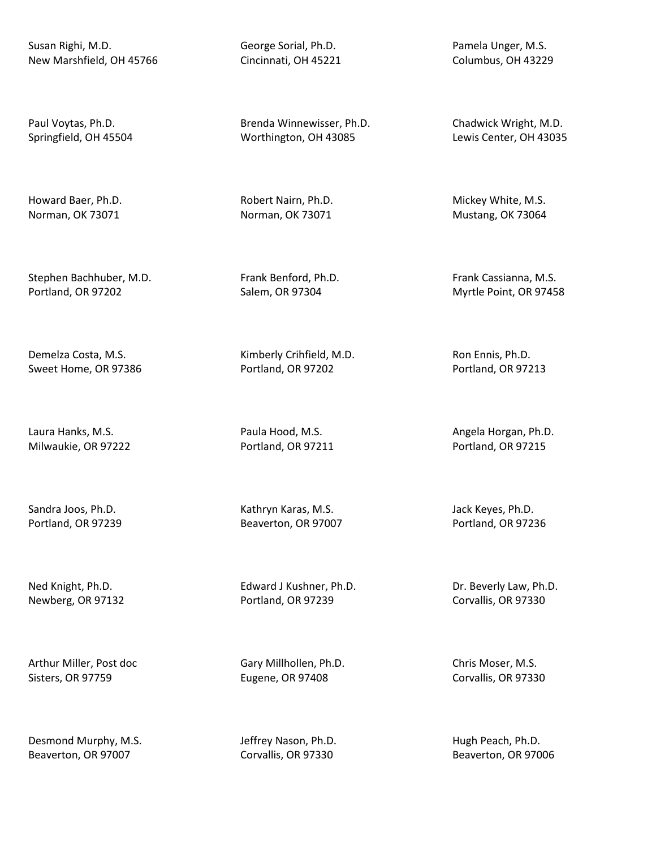Susan Righi, M.D. New Marshfield, OH 45766

Paul Voytas, Ph.D. Springfield, OH 45504

Howard Baer, Ph.D. Norman, OK 73071

Stephen Bachhuber, M.D. Portland, OR 97202

Demelza Costa, M.S. Sweet Home, OR 97386

Laura Hanks, M.S. Milwaukie, OR 97222

Sandra Joos, Ph.D. Portland, OR 97239

Ned Knight, Ph.D. Newberg, OR 97132

Arthur Miller, Post doc Sisters, OR 97759

Desmond Murphy, M.S. Beaverton, OR 97007

George Sorial, Ph.D. Cincinnati, OH 45221

Brenda Winnewisser, Ph.D. Worthington, OH 43085

Robert Nairn, Ph.D. Norman, OK 73071

Frank Benford, Ph.D. Salem, OR 97304

Kimberly Crihfield, M.D. Portland, OR 97202

Paula Hood, M.S. Portland, OR 97211

Kathryn Karas, M.S. Beaverton, OR 97007

Edward J Kushner, Ph.D. Portland, OR 97239

Gary Millhollen, Ph.D. Eugene, OR 97408

Jeffrey Nason, Ph.D. Corvallis, OR 97330

Pamela Unger, M.S. Columbus, OH 43229

Chadwick Wright, M.D. Lewis Center, OH 43035

Mickey White, M.S. Mustang, OK 73064

Frank Cassianna, M.S. Myrtle Point, OR 97458

Ron Ennis, Ph.D. Portland, OR 97213

Angela Horgan, Ph.D. Portland, OR 97215

Jack Keyes, Ph.D. Portland, OR 97236

Dr. Beverly Law, Ph.D. Corvallis, OR 97330

Chris Moser, M.S. Corvallis, OR 97330

Hugh Peach, Ph.D. Beaverton, OR 97006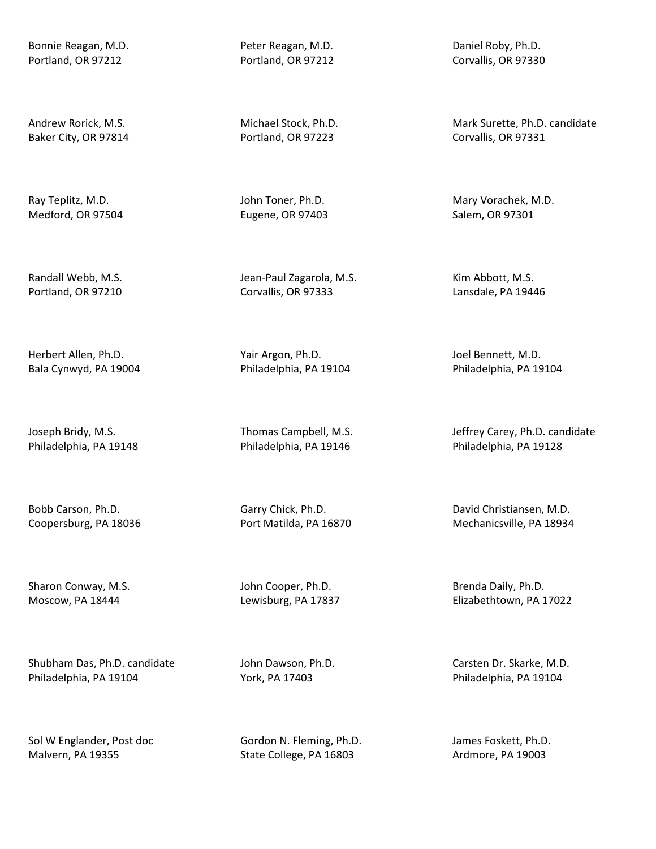Bonnie Reagan, M.D. Portland, OR 97212

Andrew Rorick, M.S. Baker City, OR 97814

Ray Teplitz, M.D. Medford, OR 97504

Randall Webb, M.S. Portland, OR 97210

Herbert Allen, Ph.D. Bala Cynwyd, PA 19004

Joseph Bridy, M.S. Philadelphia, PA 19148

Bobb Carson, Ph.D. Coopersburg, PA 18036

Sharon Conway, M.S. Moscow, PA 18444

Shubham Das, Ph.D. candidate Philadelphia, PA 19104

Sol W Englander, Post doc Malvern, PA 19355

Peter Reagan, M.D. Portland, OR 97212

Michael Stock, Ph.D. Portland, OR 97223

John Toner, Ph.D. Eugene, OR 97403

Jean-Paul Zagarola, M.S. Corvallis, OR 97333

Yair Argon, Ph.D. Philadelphia, PA 19104

Thomas Campbell, M.S. Philadelphia, PA 19146

Garry Chick, Ph.D. Port Matilda, PA 16870

John Cooper, Ph.D. Lewisburg, PA 17837

John Dawson, Ph.D. York, PA 17403

Gordon N. Fleming, Ph.D. State College, PA 16803

Daniel Roby, Ph.D. Corvallis, OR 97330

Mark Surette, Ph.D. candidate Corvallis, OR 97331

Mary Vorachek, M.D. Salem, OR 97301

Kim Abbott, M.S. Lansdale, PA 19446

Joel Bennett, M.D. Philadelphia, PA 19104

Jeffrey Carey, Ph.D. candidate Philadelphia, PA 19128

David Christiansen, M.D. Mechanicsville, PA 18934

Brenda Daily, Ph.D. Elizabethtown, PA 17022

Carsten Dr. Skarke, M.D. Philadelphia, PA 19104

James Foskett, Ph.D. Ardmore, PA 19003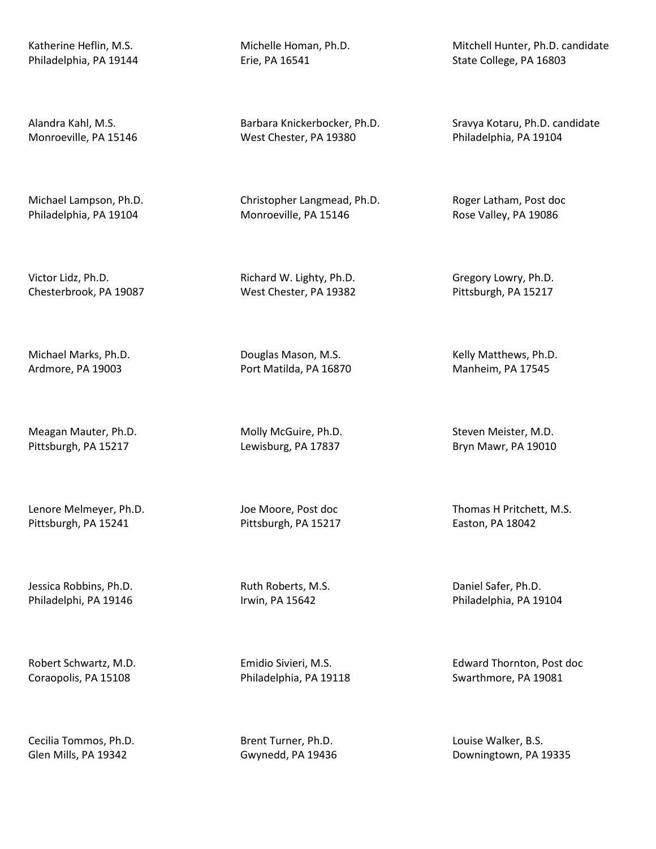Katherine Heflin, M.S. Philadelphia, PA 19144

Alandra Kahl, M.S. Monroeville, PA 15146

Michael Lampson, Ph.D. Philadelphia, PA 19104

Victor Lidz, Ph.D. Chesterbrook, PA 19087

Michael Marks, Ph.D. Ardmore, PA 19003

Meagan Mauter, Ph.D. Pittsburgh, PA 15217

Lenore Melmeyer, Ph.D. Pittsburgh, PA 15241

Jessica Robbins, Ph.D. Philadelphi, PA 19146

Robert Schwartz, M.D. Coraopolis, PA 15108

Cecilia Tommos, Ph.D. Glen Mills, PA 19342

Michelle Homan, Ph.D. Erie, PA 16541

Barbara Knickerbocker, Ph.D. West Chester, PA 19380

Christopher Langmead, Ph.D. Monroeville, PA 15146

Richard W. Lighty, Ph.D. West Chester, PA 19382

Douglas Mason, M.S. Port Matilda, PA 16870

Molly McGuire, Ph.D. Lewisburg, PA 17837

Joe Moore, Post doc Pittsburgh, PA 15217

Ruth Roberts, M.S. Irwin, PA 15642

Emidio Sivieri, M.S. Philadelphia, PA 19118

Brent Turner, Ph.D. Gwynedd, PA 19436

Mitchell Hunter, Ph.D. candidate State College, PA 16803

Sravya Kotaru, Ph.D. candidate Philadelphia, PA 19104

Roger Latham, Post doc Rose Valley, PA 19086

Gregory Lowry, Ph.D. Pittsburgh, PA 15217

Kelly Matthews, Ph.D. Manheim, PA 17545

Steven Meister, M.D. Bryn Mawr, PA 19010

Thomas H Pritchett, M.S. Easton, PA 18042

Daniel Safer, Ph.D. Philadelphia, PA 19104

Edward Thornton, Post doc Swarthmore, PA 19081

Louise Walker, B.S. Downingtown, PA 19335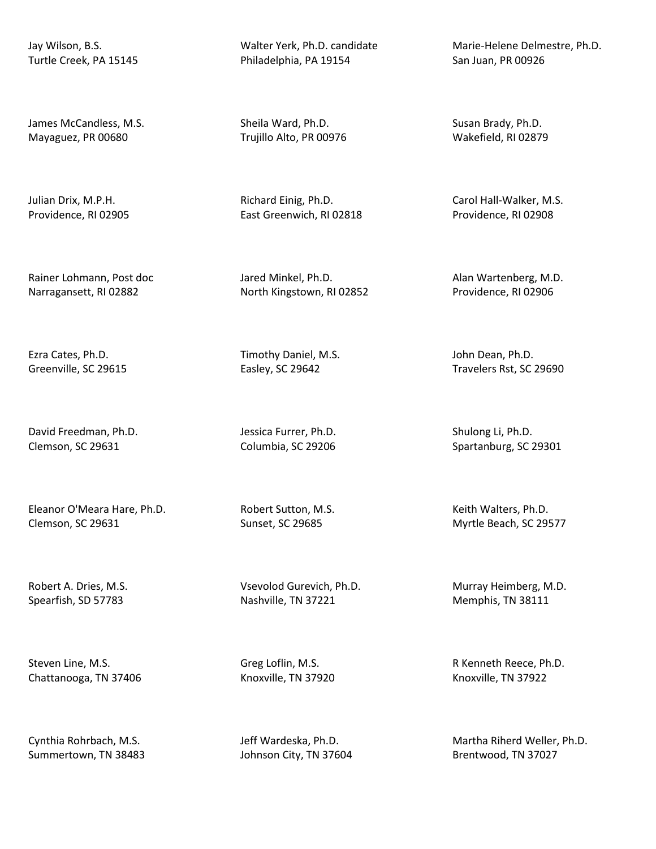Jay Wilson, B.S. Turtle Creek, PA 15145

James McCandless, M.S. Mayaguez, PR 00680

Julian Drix, M.P.H. Providence, RI 02905

Rainer Lohmann, Post doc Narragansett, RI 02882

Ezra Cates, Ph.D. Greenville, SC 29615

David Freedman, Ph.D. Clemson, SC 29631

Eleanor O'Meara Hare, Ph.D. Clemson, SC 29631

Robert A. Dries, M.S. Spearfish, SD 57783

Steven Line, M.S. Chattanooga, TN 37406

Cynthia Rohrbach, M.S. Summertown, TN 38483 Walter Yerk, Ph.D. candidate Philadelphia, PA 19154

Sheila Ward, Ph.D. Trujillo Alto, PR 00976

Richard Einig, Ph.D. East Greenwich, RI 02818

Jared Minkel, Ph.D. North Kingstown, RI 02852

Timothy Daniel, M.S. Easley, SC 29642

Jessica Furrer, Ph.D. Columbia, SC 29206

Robert Sutton, M.S. Sunset, SC 29685

Vsevolod Gurevich, Ph.D. Nashville, TN 37221

Greg Loflin, M.S. Knoxville, TN 37920

Jeff Wardeska, Ph.D. Johnson City, TN 37604 Marie-Helene Delmestre, Ph.D. San Juan, PR 00926

Susan Brady, Ph.D. Wakefield, RI 02879

Carol Hall-Walker, M.S. Providence, RI 02908

Alan Wartenberg, M.D. Providence, RI 02906

John Dean, Ph.D. Travelers Rst, SC 29690

Shulong Li, Ph.D. Spartanburg, SC 29301

Keith Walters, Ph.D. Myrtle Beach, SC 29577

Murray Heimberg, M.D. Memphis, TN 38111

R Kenneth Reece, Ph.D. Knoxville, TN 37922

Martha Riherd Weller, Ph.D. Brentwood, TN 37027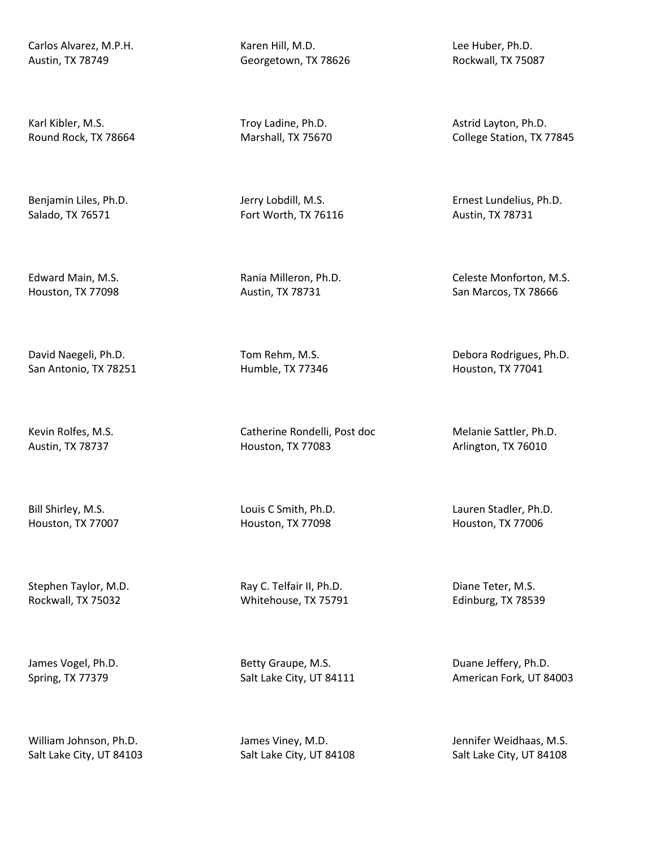Carlos Alvarez, M.P.H. Austin, TX 78749

Karl Kibler, M.S. Round Rock, TX 78664

Benjamin Liles, Ph.D. Salado, TX 76571

Edward Main, M.S. Houston, TX 77098

David Naegeli, Ph.D. San Antonio, TX 78251

Kevin Rolfes, M.S. Austin, TX 78737

Bill Shirley, M.S. Houston, TX 77007

Stephen Taylor, M.D. Rockwall, TX 75032

James Vogel, Ph.D. Spring, TX 77379

William Johnson, Ph.D. Salt Lake City, UT 84103 Karen Hill, M.D. Georgetown, TX 78626

Troy Ladine, Ph.D. Marshall, TX 75670

Jerry Lobdill, M.S. Fort Worth, TX 76116

Rania Milleron, Ph.D. Austin, TX 78731

Tom Rehm, M.S. Humble, TX 77346

Catherine Rondelli, Post doc Houston, TX 77083

Louis C Smith, Ph.D. Houston, TX 77098

Ray C. Telfair II, Ph.D. Whitehouse, TX 75791

Betty Graupe, M.S. Salt Lake City, UT 84111

James Viney, M.D. Salt Lake City, UT 84108 Lee Huber, Ph.D. Rockwall, TX 75087

Astrid Layton, Ph.D. College Station, TX 77845

Ernest Lundelius, Ph.D. Austin, TX 78731

Celeste Monforton, M.S. San Marcos, TX 78666

Debora Rodrigues, Ph.D. Houston, TX 77041

Melanie Sattler, Ph.D. Arlington, TX 76010

Lauren Stadler, Ph.D. Houston, TX 77006

Diane Teter, M.S. Edinburg, TX 78539

Duane Jeffery, Ph.D. American Fork, UT 84003

Jennifer Weidhaas, M.S. Salt Lake City, UT 84108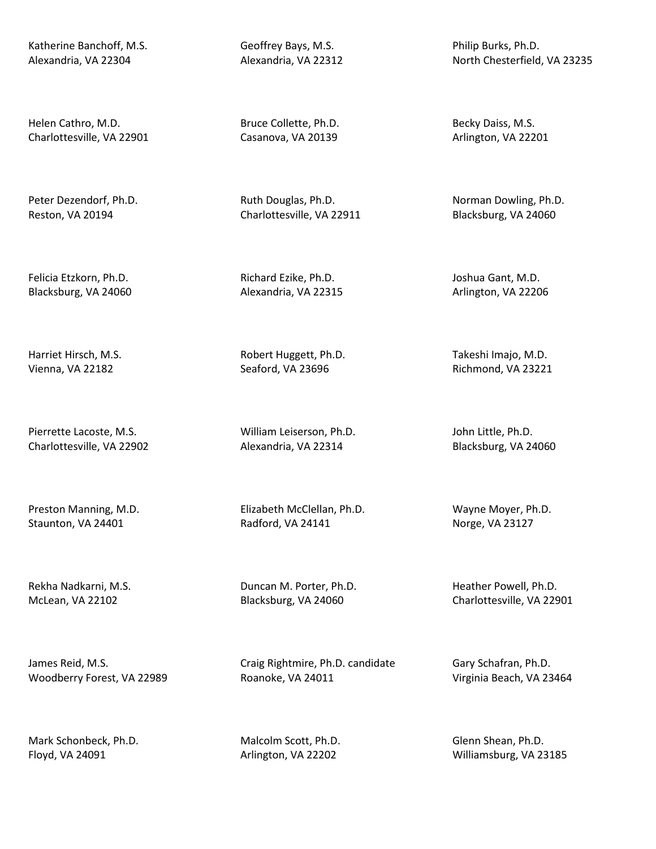Katherine Banchoff, M.S. Alexandria, VA 22304

Helen Cathro, M.D. Charlottesville, VA 22901

Peter Dezendorf, Ph.D. Reston, VA 20194

Felicia Etzkorn, Ph.D. Blacksburg, VA 24060

Harriet Hirsch, M.S. Vienna, VA 22182

Pierrette Lacoste, M.S. Charlottesville, VA 22902

Preston Manning, M.D. Staunton, VA 24401

Rekha Nadkarni, M.S. McLean, VA 22102

James Reid, M.S. Woodberry Forest, VA 22989

Mark Schonbeck, Ph.D. Floyd, VA 24091

Geoffrey Bays, M.S. Alexandria, VA 22312

Bruce Collette, Ph.D. Casanova, VA 20139

Ruth Douglas, Ph.D. Charlottesville, VA 22911

Richard Ezike, Ph.D. Alexandria, VA 22315

Robert Huggett, Ph.D. Seaford, VA 23696

William Leiserson, Ph.D. Alexandria, VA 22314

Elizabeth McClellan, Ph.D. Radford, VA 24141

Duncan M. Porter, Ph.D. Blacksburg, VA 24060

Craig Rightmire, Ph.D. candidate Roanoke, VA 24011

Malcolm Scott, Ph.D. Arlington, VA 22202

Philip Burks, Ph.D. North Chesterfield, VA 23235

Becky Daiss, M.S. Arlington, VA 22201

Norman Dowling, Ph.D. Blacksburg, VA 24060

Joshua Gant, M.D. Arlington, VA 22206

Takeshi Imajo, M.D. Richmond, VA 23221

John Little, Ph.D. Blacksburg, VA 24060

Wayne Moyer, Ph.D. Norge, VA 23127

Heather Powell, Ph.D. Charlottesville, VA 22901

Gary Schafran, Ph.D. Virginia Beach, VA 23464

Glenn Shean, Ph.D. Williamsburg, VA 23185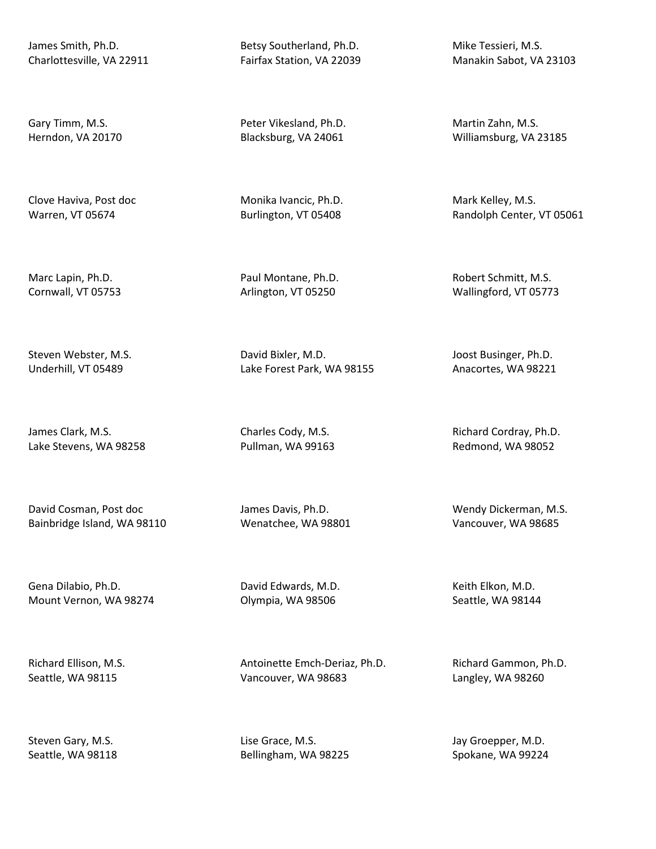James Smith, Ph.D. Charlottesville, VA 22911

Gary Timm, M.S. Herndon, VA 20170

Clove Haviva, Post doc Warren, VT 05674

Marc Lapin, Ph.D. Cornwall, VT 05753

Steven Webster, M.S. Underhill, VT 05489

James Clark, M.S. Lake Stevens, WA 98258

David Cosman, Post doc Bainbridge Island, WA 98110

Gena Dilabio, Ph.D. Mount Vernon, WA 98274

Richard Ellison, M.S. Seattle, WA 98115

Steven Gary, M.S. Seattle, WA 98118 Betsy Southerland, Ph.D. Fairfax Station, VA 22039

Peter Vikesland, Ph.D. Blacksburg, VA 24061

Monika Ivancic, Ph.D. Burlington, VT 05408

Paul Montane, Ph.D. Arlington, VT 05250

David Bixler, M.D. Lake Forest Park, WA 98155

Charles Cody, M.S. Pullman, WA 99163

James Davis, Ph.D. Wenatchee, WA 98801

David Edwards, M.D. Olympia, WA 98506

Antoinette Emch-Deriaz, Ph.D. Vancouver, WA 98683

Lise Grace, M.S. Bellingham, WA 98225 Mike Tessieri, M.S. Manakin Sabot, VA 23103

Martin Zahn, M.S. Williamsburg, VA 23185

Mark Kelley, M.S. Randolph Center, VT 05061

Robert Schmitt, M.S. Wallingford, VT 05773

Joost Businger, Ph.D. Anacortes, WA 98221

Richard Cordray, Ph.D. Redmond, WA 98052

Wendy Dickerman, M.S. Vancouver, WA 98685

Keith Elkon, M.D. Seattle, WA 98144

Richard Gammon, Ph.D. Langley, WA 98260

Jay Groepper, M.D. Spokane, WA 99224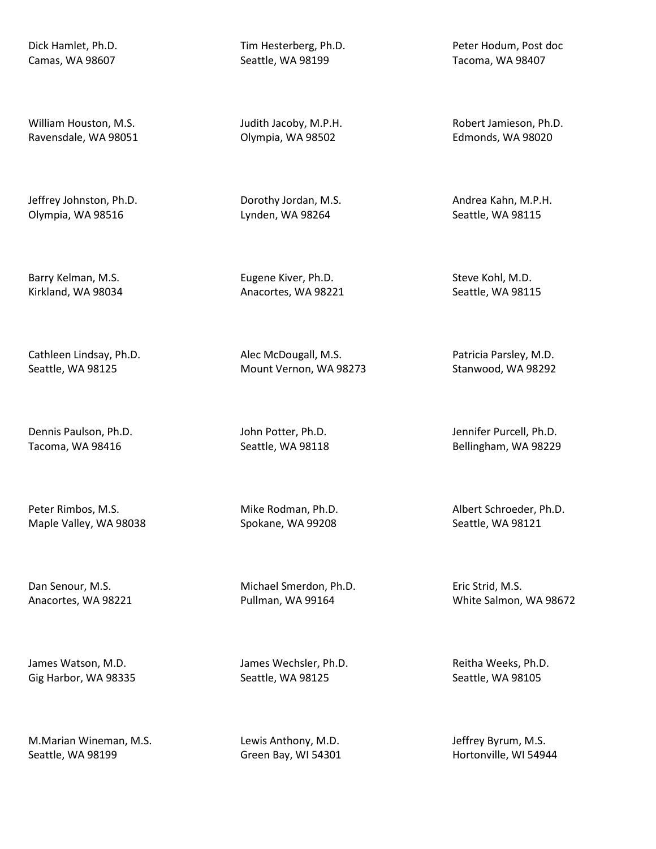Dick Hamlet, Ph.D. Camas, WA 98607

William Houston, M.S. Ravensdale, WA 98051

Jeffrey Johnston, Ph.D. Olympia, WA 98516

Barry Kelman, M.S. Kirkland, WA 98034

Cathleen Lindsay, Ph.D. Seattle, WA 98125

Dennis Paulson, Ph.D. Tacoma, WA 98416

Peter Rimbos, M.S. Maple Valley, WA 98038

Dan Senour, M.S. Anacortes, WA 98221

James Watson, M.D. Gig Harbor, WA 98335

M.Marian Wineman, M.S. Seattle, WA 98199

Tim Hesterberg, Ph.D. Seattle, WA 98199

Judith Jacoby, M.P.H. Olympia, WA 98502

Dorothy Jordan, M.S. Lynden, WA 98264

Eugene Kiver, Ph.D. Anacortes, WA 98221

Alec McDougall, M.S. Mount Vernon, WA 98273

John Potter, Ph.D. Seattle, WA 98118

Mike Rodman, Ph.D. Spokane, WA 99208

Michael Smerdon, Ph.D. Pullman, WA 99164

James Wechsler, Ph.D. Seattle, WA 98125

Lewis Anthony, M.D. Green Bay, WI 54301 Peter Hodum, Post doc Tacoma, WA 98407

Robert Jamieson, Ph.D. Edmonds, WA 98020

Andrea Kahn, M.P.H. Seattle, WA 98115

Steve Kohl, M.D. Seattle, WA 98115

Patricia Parsley, M.D. Stanwood, WA 98292

Jennifer Purcell, Ph.D. Bellingham, WA 98229

Albert Schroeder, Ph.D. Seattle, WA 98121

Eric Strid, M.S. White Salmon, WA 98672

Reitha Weeks, Ph.D. Seattle, WA 98105

Jeffrey Byrum, M.S. Hortonville, WI 54944